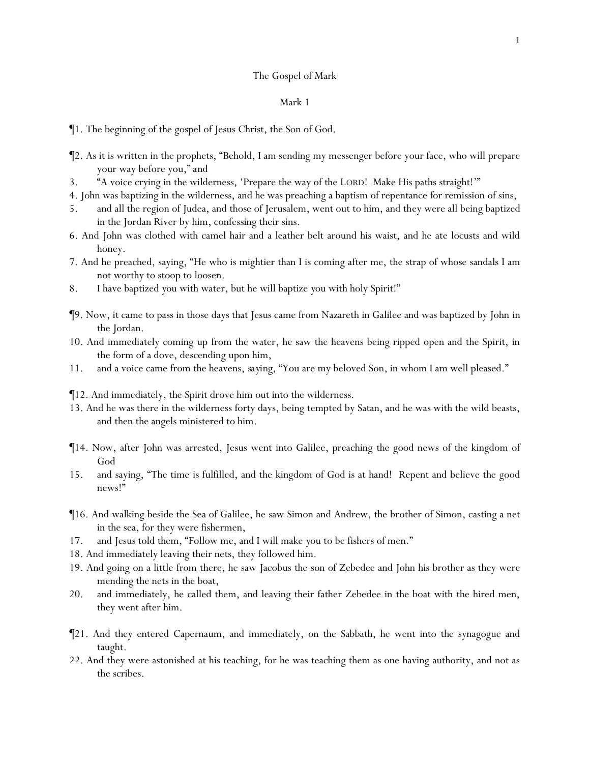## The Gospel of Mark

### Mark 1

¶1. The beginning of the gospel of Jesus Christ, the Son of God.

- ¶2. As it is written in the prophets, "Behold, I am sending my messenger before your face, who will prepare your way before you," *and*
- 3. "A voice crying in the wilderness, 'Prepare the way of the LORD! Make His paths straight!'"
- 4. John was baptizing in the wilderness, and he was preaching a baptism of repentance for remission of sins,
- 5. and all the region of Judea, and those of Jerusalem, went out to him, and they were all being baptized in the Jordan River by him, confessing their sins.
- 6. And John was clothed with camel hair and a leather belt around his waist, and he ate locusts and wild honey.
- 7. And he preached, saying, "He who is mightier than I is coming after me, the strap of whose sandals I am not worthy to stoop to loosen.
- 8. I have baptized *y*ou with water, but he will baptize *y*ou with holy Spirit!"
- ¶9. Now, it came to pass in those days that Jesus came from Nazareth in Galilee and was baptized by John in the Jordan.
- 10. And immediately coming up from the water, he saw the heavens being ripped open and the Spirit, in the form of a dove, descending upon him,
- 11. and a voice came from the heavens, *saying,* "You are my beloved Son, in whom I am well pleased."
- ¶12. And immediately, the Spirit drove him out into the wilderness.
- 13. And he was there in the wilderness forty days, being tempted by Satan, and he was with the wild beasts, and then the angels ministered to him.
- ¶14. Now, after John was arrested, Jesus went into Galilee, preaching the good news of the kingdom of God
- 15. and saying, "The time is fulfilled, and the kingdom of God is at hand! Repent and believe the good news!"
- ¶16. And walking beside the Sea of Galilee, he saw Simon and Andrew, the brother of Simon, casting a net in the sea, for they were fishermen,
- 17. and Jesus told them, "Follow me, and I will make *y*ou to be fishers of men."
- 18. And immediately leaving their nets, they followed him.
- 19. And going on a little from there, he saw Jacobus the son of Zebedee and John his brother as they were mending the nets in the boat,
- 20. and immediately, he called them, and leaving their father Zebedee in the boat with the hired men, they went after him.
- ¶21. And they entered Capernaum, and immediately, on the Sabbath, he went into the synagogue and taught.
- 22. And they were astonished at his teaching, for he was teaching them as one having authority, and not as the scribes.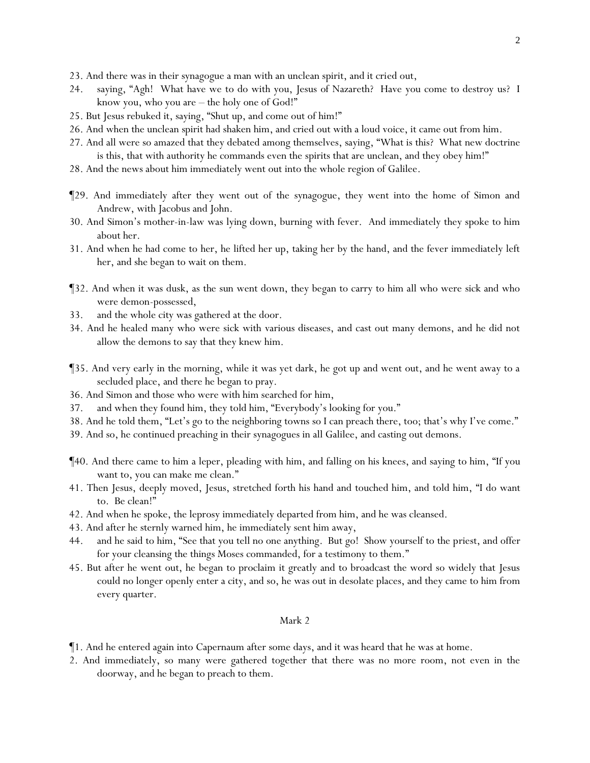- 23. And there was in their synagogue a man with an unclean spirit, and it cried out,
- 24. saying, "Agh! What have we to do with you, Jesus of Nazareth? Have you come to destroy us? I know you, who you are – the holy one of God!"
- 25. But Jesus rebuked it, saying, "Shut up, and come out of him!"
- 26. And when the unclean spirit had shaken him, and cried out with a loud voice, it came out from him.
- 27. And all were so amazed that they debated among themselves, saying, "What is this? What new doctrine is this, that with authority he commands even the spirits that are unclean, and they obey him!"
- 28. And the news about him immediately went out into the whole region of Galilee.
- ¶29. And immediately after they went out of the synagogue, they went into the home of Simon and Andrew, with Jacobus and John.
- 30. And Simon's mother-in-law was lying down, burning with fever. And immediately they spoke to him about her.
- 31. And when he had come to her, he lifted her up, taking her by the hand, and the fever immediately left her, and she began to wait on them.
- ¶32. And when it was dusk, as the sun went down, they began to carry to him all who were sick and who were demon-possessed,
- 33. and the whole city was gathered at the door.
- 34. And he healed many who were sick with various diseases, and cast out many demons, and he did not allow the demons to say that they knew him.
- ¶35. And very early in the morning, while it was yet dark, he got up and went out, and he went away to a secluded place, and there he began to pray.
- 36. And Simon and those who were with him searched for him,
- 37. and when they found him, they told him, "Everybody's looking for you."
- 38. And he told them, "Let's go to the neighboring towns so I can preach there, too; that's why I've come."
- 39. And so, he continued preaching in their synagogues in all Galilee, and casting out demons.
- ¶40. And there came to him a leper, pleading with him, and falling on his knees, and saying to him, "If you want to, you can make me clean."
- 41. Then Jesus, deeply moved, Jesus, stretched forth his hand and touched him, and told him, "I do want to. Be clean!"
- 42. And when he spoke, the leprosy immediately departed from him, and he was cleansed.
- 43. And after he sternly warned him, he immediately sent him away,
- 44. and he said to him, "See that you tell no one anything. But go! Show yourself to the priest, and offer for your cleansing the things Moses commanded, for a testimony to them."
- 45. But after he went out, he began to proclaim it greatly and to broadcast the word so widely that Jesus could no longer openly enter a city, and so, he was out in desolate places, and they came to him from every quarter.

- ¶1. And he entered again into Capernaum after some days, and it was heard that he was at home.
- 2. And immediately, so many were gathered together that there was no more room, not even in the doorway, and he began to preach to them.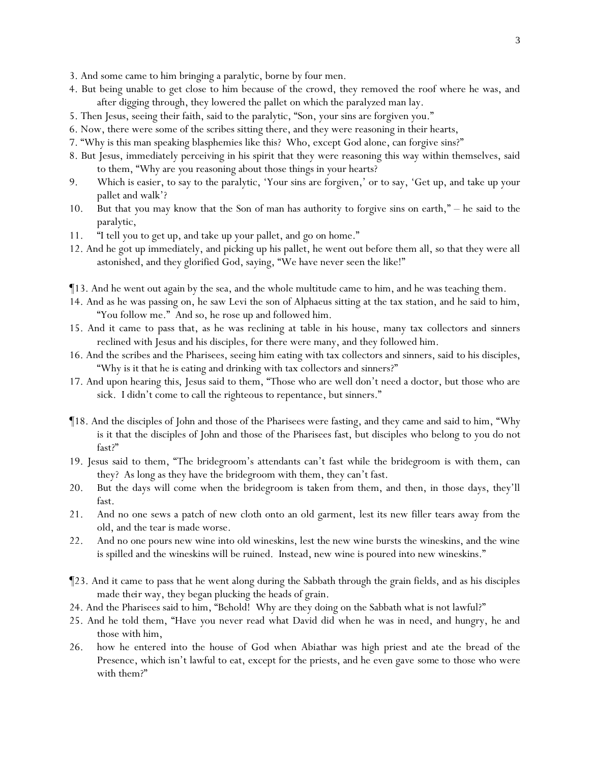- 3. And some came to him bringing a paralytic, borne by four men.
- 4. But being unable to get close to him because of the crowd, they removed the roof where he was, and after digging through, they lowered the pallet on which the paralyzed man lay.
- 5. Then Jesus, seeing their faith, said to the paralytic, "Son, your sins are forgiven you."
- 6. Now, there were some of the scribes sitting there, and they were reasoning in their hearts,
- 7. "Why is this man speaking blasphemies like this? Who, except God alone, can forgive sins?"
- 8. But Jesus, immediately perceiving in his spirit that they were reasoning this way within themselves, said to them, "Why are *y*ou reasoning about those things in *y*our hearts?
- 9. Which is easier, to say to the paralytic, 'Your sins are forgiven,' or to say, 'Get up, and take up your pallet and walk'?
- 10. But that *y*ou may know that the Son of man has authority to forgive sins on earth," he said to the paralytic,
- 11. "I tell you to get up, and take up your pallet, and go on home."
- 12. And he got up immediately, and picking up his pallet, he went out before them all, so that they were all astonished, and they glorified God, saying, "We have never seen the like!"
- ¶13. And he went out again by the sea, and the whole multitude came to him, and he was teaching them.
- 14. And as he was passing on, he saw Levi the son of Alphaeus sitting at the tax station, and he said to him, "You follow me." And so, he rose up and followed him.
- 15. And it came to pass that, as he was reclining at table in his house, many tax collectors and sinners reclined with Jesus and his disciples, for there were many, and they followed him.
- 16. And the scribes and the Pharisees, seeing him eating with tax collectors and sinners, said to his disciples, "Why is it that he is eating and drinking with tax collectors and sinners?"
- 17. And upon hearing *this*, Jesus said to them, "Those who are well don't need a doctor, but those who are sick. I didn't come to call the righteous to repentance, but sinners."
- ¶18. And the disciples of John and those of the Pharisees were fasting, and they came and said to him, "Why is it that the disciples of John and those of the Pharisees fast, but disciples who belong to you do not fast?"
- 19. Jesus said to them, "The bridegroom's attendants can't fast while the bridegroom is with them, can they? As long as they have the bridegroom with them, they can't fast.
- 20. But the days will come when the bridegroom is taken from them, and then, in those days, they'll fast.
- 21. And no one sews a patch of new cloth onto an old garment, lest its new filler tears away from the old, and the tear is made worse.
- 22. And no one pours new wine into old wineskins, lest the new wine bursts the wineskins, and the wine is spilled and the wineskins will be ruined. Instead, new wine is poured into new wineskins."
- ¶23. And it came to pass that he went along during the Sabbath through the grain fields, and as his disciples made *their* way, they began plucking the heads of grain.
- 24. And the Pharisees said to him, "Behold! Why are they doing on the Sabbath what is not lawful?"
- 25. And he told them, "Have *y*ou never read what David did when he was in need, and hungry, he and those with him,
- 26. how he entered into the house of God when Abiathar was high priest and ate the bread of the Presence, which isn't lawful to eat, except for the priests, and he even gave *some* to those who were with them?"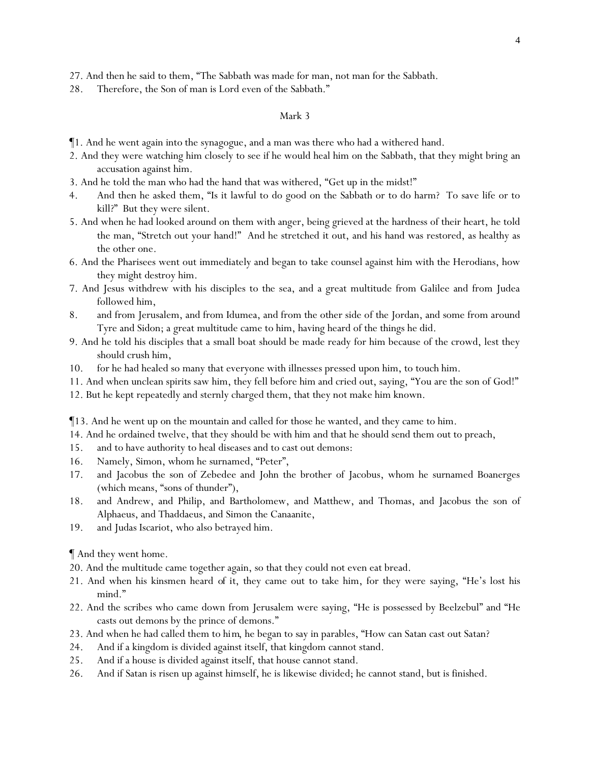27. And then he said to them, "The Sabbath was made for man, not man for the Sabbath.

28. Therefore, the Son of man is Lord even of the Sabbath."

#### Mark 3

- ¶1. And he went again into the synagogue, and a man was there who had a withered hand.
- 2. And they were watching him closely to see if he would heal him on the Sabbath, that they might bring an accusation against him.
- 3. And he told the man who had the hand that was withered, "Get up in the midst!"
- 4. And then he asked them, "Is it lawful to do good on the Sabbath or to do harm? To save life or to kill?" But they were silent.
- 5. And when he had looked around on them with anger, being grieved at the hardness of their heart, he told the man, "Stretch out your hand!" And he stretched it out, and his hand was restored, as healthy as the other one.
- 6. And the Pharisees went out immediately and began to take counsel against him with the Herodians, how they might destroy him.
- 7. And Jesus withdrew with his disciples to the sea, and a great multitude from Galilee and from Judea followed him,
- 8. and from Jerusalem, and from Idumea, and from the other side of the Jordan, and some from around Tyre and Sidon; a great multitude came to him, having heard of the things he did.
- 9. And he told his disciples that a small boat should be made ready for him because of the crowd, lest they should crush him,
- 10. for he had healed so many that everyone with illnesses pressed upon him, to touch him.
- 11. And when unclean spirits saw him, they fell before him and cried out, saying, "You are the son of God!"
- 12. But he kept repeatedly and sternly charged them, that they not make him known.

¶13. And he went up on the mountain and called for those he wanted, and they came to him.

- 14. And he ordained twelve, that they should be with him and that he should send them out to preach,
- 15. and to have authority to heal diseases and to cast out demons:
- 16. Namely, Simon, whom he surnamed, "Peter",
- 17. and Jacobus the son of Zebedee and John the brother of Jacobus, whom he surnamed Boanerges (which means, "sons of thunder"),
- 18. and Andrew, and Philip, and Bartholomew, and Matthew, and Thomas, and Jacobus the son of Alphaeus, and Thaddaeus, and Simon the Canaanite,
- 19. and Judas Iscariot, who also betrayed him.

¶ And they went home.

- 20. And the multitude came together again, so that they could not even eat bread.
- 21. And when his kinsmen heard *of it*, they came out to take him, for they were saying, "He's lost his mind."
- 22. And the scribes who came down from Jerusalem were saying, "He is possessed by Beelzebul" and "He casts out demons by the prince of demons."
- 23. And when he had called them to *him*, he began to say in parables, "How can Satan cast out Satan?
- 24. And if a kingdom is divided against itself, that kingdom cannot stand.
- 25. And if a house is divided against itself, that house cannot stand.
- 26. And if Satan is risen up against himself, he is likewise divided; he cannot stand, but is finished.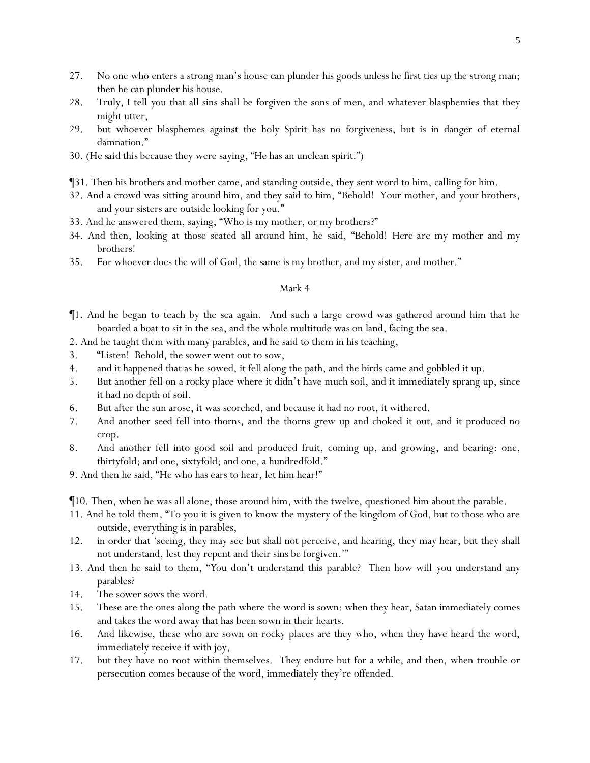- 27. No one who enters a strong man's house can plunder his goods unless he first ties up the strong man; then he can plunder his house.
- 28. Truly, I tell *y*ou that all sins shall be forgiven the sons of men, and whatever blasphemies that they might utter,
- 29. but whoever blasphemes against the holy Spirit has no forgiveness, but is in danger of eternal damnation."
- 30. (*He said this* because they were saying, "He has an unclean spirit.")
- ¶31. Then his brothers and mother came, and standing outside, they sent word to him, calling for him.
- 32. And a crowd was sitting around him, and they said to him, "Behold! Your mother, and your brothers, and your sisters are outside looking for you."
- 33. And he answered them, saying, "Who is my mother, or my brothers?"
- 34. And then, looking at those seated all around him, he said, "Behold! *Here are* my mother and my brothers!
- 35. For whoever does the will of God, the same is my brother, and my sister, and mother."

- ¶1. And he began to teach by the sea again. And such a large crowd was gathered around him that he boarded a boat to sit in the sea, and the whole multitude was on land, facing the sea.
- 2. And he taught them with many parables, and he said to them in his teaching,
- 3. "Listen! Behold, the sower went out to sow,
- 4. and it happened that as he sowed, it fell along the path, and the birds came and gobbled it up.
- 5. But another fell on a rocky place where it didn't have much soil, and it immediately sprang up, since it had no depth of soil.
- 6. But after the sun arose, it was scorched, and because it had no root, it withered.
- 7. And another *seed* fell into thorns, and the thorns grew up and choked it out, and it produced no crop.
- 8. And another fell into good soil and produced fruit, coming up, and growing, and bearing: one, thirtyfold; and one, sixtyfold; and one, a hundredfold."
- 9. And then he said, "He who has ears to hear, let him hear!"
- ¶10. Then, when he was all alone, those around him, with the twelve, questioned him about the parable.
- 11. And he told them, "To *y*ou it is given to know the mystery of the kingdom of God, but to those who are outside, everything is in parables,
- 12. in order that 'seeing, they may see but shall not perceive, and hearing, they may hear, but they shall not understand, lest they repent and their sins be forgiven.'"
- 13. And then he said to them, "*Y*ou don't understand this parable? Then how will *y*ou understand any parables?
- 14. The sower sows the word.
- 15. These are the ones along the path where the word is sown: when they hear, Satan immediately comes and takes the word away that has been sown in their hearts.
- 16. And likewise, these who are sown on rocky places are they who, when they have heard the word, immediately receive it with joy,
- 17. but they have no root within themselves. They endure but for a while, and then, when trouble or persecution comes because of the word, immediately they're offended.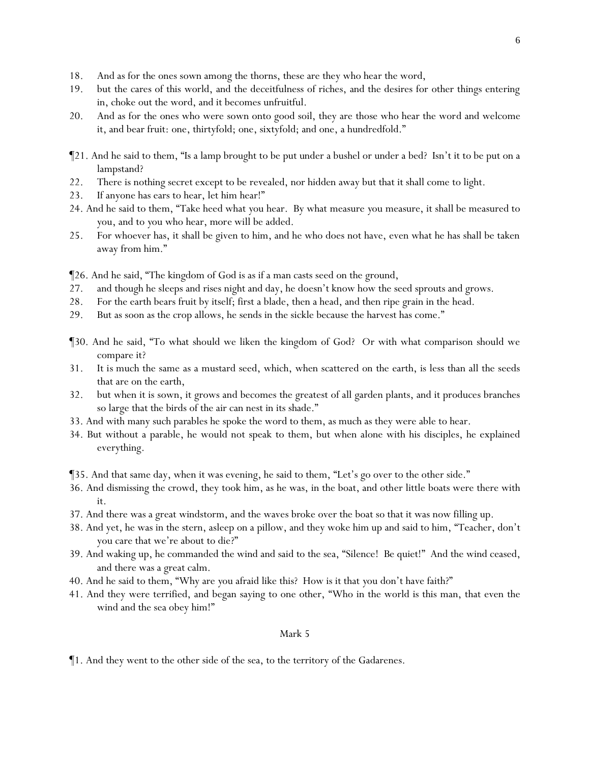- 18. And as for the ones sown among the thorns, these are they who hear the word,
- 19. but the cares of this world, and the deceitfulness of riches, and the desires for other things entering in, choke out the word, and it becomes unfruitful.
- 20. And as for the ones who were sown onto good soil, they are those who hear the word and welcome it, and bear fruit: one, thirtyfold; one, sixtyfold; and one, a hundredfold."
- ¶21. And he said to them, "Is a lamp brought to be put under a bushel or under a bed? Isn't it to be put on a lampstand?
- 22. There is nothing secret except to be revealed, nor hidden away but that it shall come to light.
- 23. If anyone has ears to hear, let him hear!"
- 24. And he said to them, "Take heed what *y*ou hear. By what measure *y*ou measure, it shall be measured to *y*ou, and to *y*ou who hear, *more* will be added.
- 25. For whoever has, it shall be given to him, and he who does not have, even what he has shall be taken away from him."
- ¶26. And he said, "The kingdom of God is as if a man casts seed on the ground,
- 27. and though he sleeps and rises night and day, he doesn't know how the seed sprouts and grows.
- 28. For the earth bears fruit by itself; first a blade, then a head, and then ripe grain in the head.
- 29. But as soon as the crop allows, he sends in the sickle because the harvest has come."
- ¶30. And he said, "To what should we liken the kingdom of God? Or with what comparison should we compare it?
- 31. *It is* much the same as a mustard seed, which, when scattered on the earth, is less than all the seeds that are on the earth,
- 32. but when it is sown, it grows and becomes the greatest of all garden plants, and it produces branches so large that the birds of the air can nest in its shade."
- 33. And with many such parables he spoke the word to them, as much as they were able to hear.
- 34. But without a parable, he would not speak to them, but when alone with his disciples, he explained everything.
- ¶35. And that same day, when it was evening, he said to them, "Let's go over to the other side."
- 36. And dismissing the crowd, they took him, as he was, in the boat, and other little boats were there with it.
- 37. And there was a great windstorm, and the waves broke over the boat so that it was now filling up.
- 38. And yet, he was in the stern, asleep on a pillow, and they woke him up and said to him, "Teacher, don't you care that we're about to die?"
- 39. And waking up, he commanded the wind and said to the sea, "Silence! Be quiet!" And the wind ceased, and there was a great calm.
- 40. And he said to them, "Why are *y*ou afraid like this? How is it that *y*ou don't have faith?"
- 41. And they were terrified, and began saying to one other, "Who in the world is this man, that even the wind and the sea obey him!"

¶1. And they went to the other side of the sea, to the territory of the Gadarenes.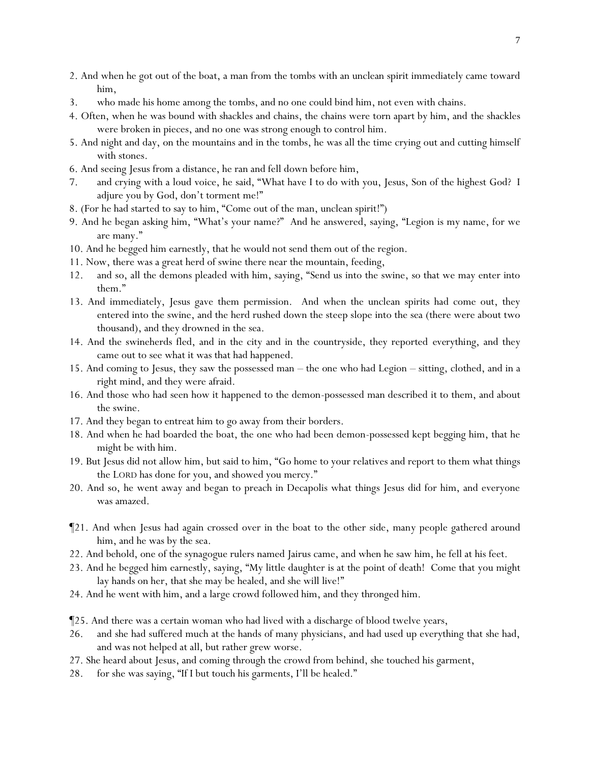- 2. And when he got out of the boat, a man from the tombs with an unclean spirit immediately came toward him,
- 3. who made his home among the tombs, and no one could bind him, not even with chains.
- 4. Often, when he was bound with shackles and chains, the chains were torn apart by him, and the shackles were broken in pieces, and no one was strong enough to control him.
- 5. And night and day, on the mountains and in the tombs, he was all the time crying out and cutting himself with stones.
- 6. And seeing Jesus from a distance, he ran and fell down before him,
- 7. and crying with a loud voice, he said, "What have I to do with you, Jesus, Son of the highest God? I adjure you by God, don't torment me!"
- 8. (For he had started to say to him, "Come out of the man, unclean spirit!")
- 9. And he began asking him, "What's your name?" And he answered, saying, "Legion is my name, for we are many."
- 10. And he begged him earnestly, that he would not send them out of the region.
- 11. Now, there was a great herd of swine there near the mountain, feeding,
- 12. and so, all the demons pleaded with him, saying, "Send us into the swine, so that we may enter into them."
- 13. And immediately, Jesus gave them permission. And when the unclean spirits had come out, they entered into the swine, and the herd rushed down the steep slope into the sea (there were about two thousand), and they drowned in the sea.
- 14. And the swineherds fled, and in the city and in the countryside, they reported *everything*, and they came out to see what it was that had happened.
- 15. And coming to Jesus, they saw the possessed man the one who had Legion sitting, clothed, and in a right mind, and they were afraid.
- 16. And those who had seen how it happened to the demon-possessed man described *it* to them, and about the swine.
- 17. And they began to entreat him to go away from their borders.
- 18. And when he had boarded the boat, the one who had been demon-possessed kept begging him, that he might be with him.
- 19. But Jesus did not allow him, but said to him, "Go home to your relatives and report to them what things the LORD has done for you, and showed you mercy."
- 20. And so, he went away and began to preach in Decapolis what things Jesus did for him, and everyone was amazed.
- ¶21. And when Jesus had again crossed over in the boat to the other side, many people gathered around him, and he was by the sea.
- 22. And behold, one of the synagogue rulers named Jairus came, and when he saw him, he fell at his feet.
- 23. And he begged him earnestly, saying, "My little daughter is at the point of death! Come that you might lay hands on her, that she may be healed, and she will live!"
- 24. And he went with him, and a large crowd followed him, and they thronged him.
- ¶25. And there was a certain woman who had lived with a discharge of blood twelve years,
- 26. and she had suffered much at the hands of many physicians, and had used up everything that she had, and was not helped at all, but rather grew worse.
- 27. She heard about Jesus, and coming through the crowd from behind, she touched his garment,
- 28. for she was saying, "If I but touch his garments, I'll be healed."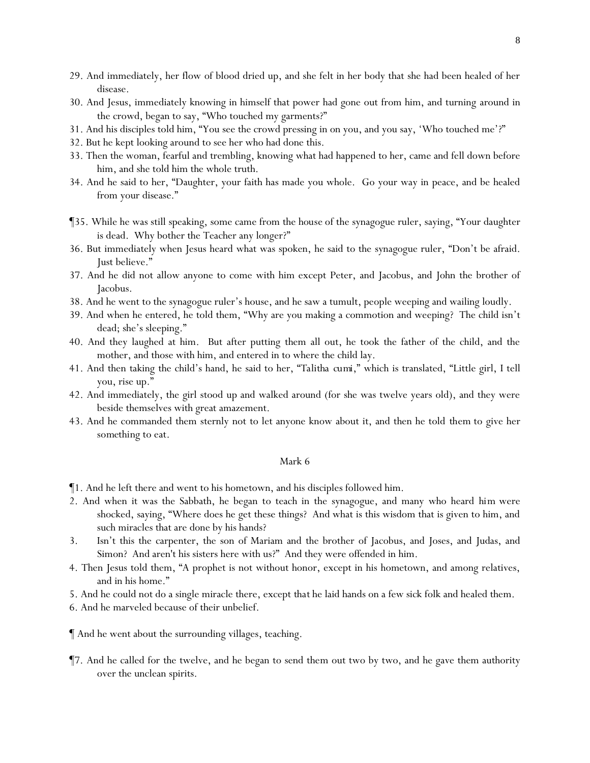- 29. And immediately, her flow of blood dried up, and she felt in her body that she had been healed of her disease.
- 30. And Jesus, immediately knowing in himself that power had gone out from him, and turning around in the crowd, began to say, "Who touched my garments?"
- 31. And his disciples told him, "You see the crowd pressing in on you, and you say, 'Who touched me'?"
- 32. But he kept looking around to see her who had done this.
- 33. Then the woman, fearful and trembling, knowing what had happened to her, came and fell down before him, and she told him the whole truth.
- 34. And he said to her, "Daughter, your faith has made you whole. Go your way in peace, and be healed from your disease."
- ¶35. While he was still speaking, some came from the *house* of the synagogue ruler, saying, "Your daughter is dead. Why bother the Teacher any longer?"
- 36. But immediately when Jesus heard what was spoken, he said to the synagogue ruler, "Don't be afraid. Just believe."
- 37. And he did not allow anyone to come with him except Peter, and Jacobus, and John the brother of Jacobus.
- 38. And he went to the synagogue ruler's house, and he saw a tumult, people weeping and wailing loudly.
- 39. And when he entered, he told them, "Why are you making a commotion and weeping? The child isn't dead; she's sleeping."
- 40. And they laughed at him. But after putting them all out, he took the father of the child, and the mother, and those with him, and entered in to where the child lay.
- 41. And then taking the child's hand, he said to her, "*Talitha cumi*," which is translated, "Little girl, I tell you, rise up."
- 42. And immediately, the girl stood up and walked around (for she was twelve years old), and they were beside themselves with great amazement.
- 43. And he commanded them sternly not to let anyone know about it, and then he told *them* to give her *something* to eat.

- ¶1. And he left there and went to his hometown, and his disciples followed him.
- 2. And when it was the Sabbath, he began to teach in the synagogue, and many who heard *him* were shocked, saying, "Where does he get these things? And what is this wisdom that is given to him, and such miracles that are done by his hands?
- 3. Isn't this the carpenter, the son of Mariam and the brother of Jacobus, and Joses, and Judas, and Simon? And aren't his sisters here with us?" And they were offended in him.
- 4. Then Jesus told them, "A prophet is not without honor, except in his hometown, and among relatives, and in his home."
- 5. And he could not do a single miracle there, except *that* he laid hands on a few sick folk and healed them.
- 6. And he marveled because of their unbelief.
- ¶ And he went about the surrounding villages, teaching.
- ¶7. And he called for the twelve, and he began to send them out two by two, and he gave them authority over the unclean spirits.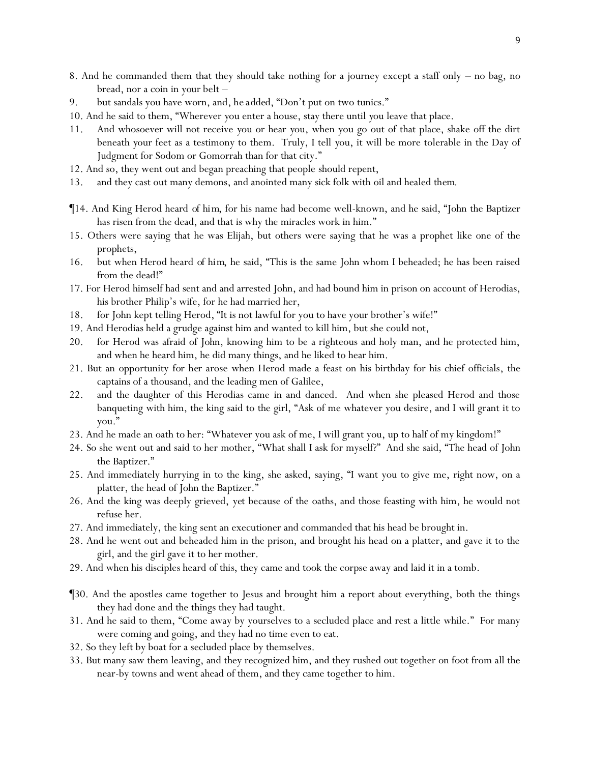- 8. And he commanded them that they should take nothing for a journey except a staff only no bag, no bread, nor a coin in *your* belt –
- 9. but sandals you have worn, and*, he added,* "Don't put on two tunics."
- 10. And he said to them, "Wherever *y*ou enter a house, stay there until *y*ou leave that place.
- 11. And whosoever will not receive *y*ou or hear *y*ou, when you go out of that place, shake off the dirt beneath *y*our feet as a testimony to them. Truly, I tell *y*ou, it will be more tolerable in the Day of Judgment for Sodom or Gomorrah than for that city."
- 12. And so, they went out and began preaching that people should repent,
- 13. and they cast out many demons, and anointed many sick folk with oil and healed *them*.
- ¶14. And King Herod heard *of him,* for his name had become well-known, and he said, "John the Baptizer has risen from the dead, and that is why the miracles work in him."
- 15. Others were saying that he was Elijah, but others were saying that he was a prophet like one of the prophets,
- 16. but when Herod heard *of him*, he said, "This is the same John whom I beheaded; he has been raised from the dead!"
- 17. For Herod himself had sent and and arrested John, and had bound him in prison on account of Herodias, his brother Philip's wife, for he had married her,
- 18. for John kept telling Herod, "It is not lawful for you to have your brother's wife!"
- 19. And Herodias held a grudge against him and wanted to kill him, but she could not,
- 20. for Herod was afraid of John, knowing him to be a righteous and holy man, and he protected him, and when he heard him, he did many things, and he liked to hear him.
- 21. But an opportunity *for her* arose when Herod made a feast on his birthday for his chief officials, the captains of a thousand, and the leading men of Galilee,
- 22. and the daughter of this Herodias came in and danced. And when she pleased Herod and those banqueting with him, the king said to the girl, "Ask of me whatever you desire, and I will grant *it* to you."
- 23. And he made an oath to her: "Whatever you ask of me, I will grant you, up to half of my kingdom!"
- 24. So she went out and said to her mother, "What shall I ask for myself?" And she said, "The head of John the Baptizer."
- 25. And immediately hurrying in to the king, she asked, saying, "I want you to give me, right now, on a platter, the head of John the Baptizer."
- 26. And the king was deeply grieved, *yet* because of the oaths, and those feasting with him, he would not refuse her.
- 27. And immediately, the king sent an executioner and commanded that his head be brought in.
- 28. And he went out and beheaded him in the prison, and brought his head on a platter, and gave it to the girl, and the girl gave it to her mother.
- 29. And when his disciples heard *of this*, they came and took the corpse away and laid it in a tomb.
- ¶30. And the apostles came together to Jesus and brought him a report about everything, both the things they had done and the things they had taught.
- 31. And he said to them, "Come away by yourselves to a secluded place and rest a little while." For many were coming and going, and they had no time even to eat.
- 32. So they left by boat for a secluded place by themselves.
- 33. But many saw them leaving, and they recognized him, and they rushed out together on foot from all the near-by towns and went ahead of them, and they came together to him.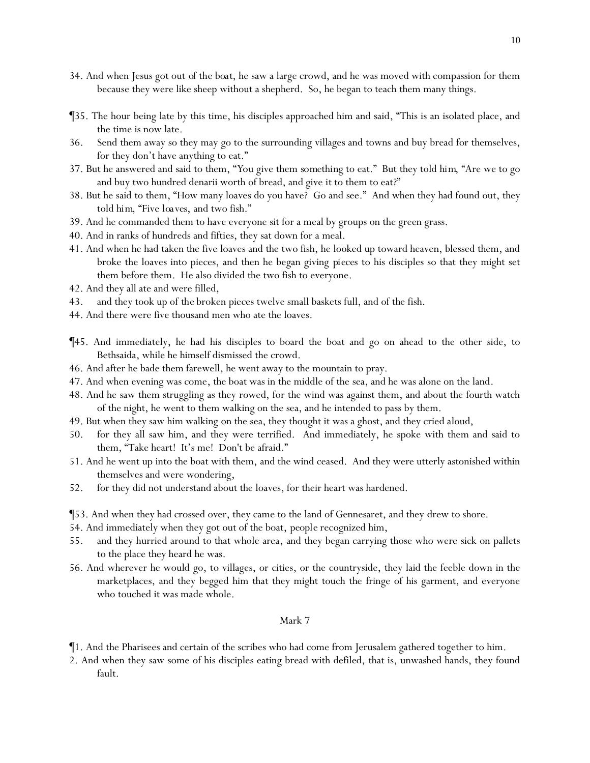- 34. And when Jesus got out *of the boat*, he saw a large crowd, and he was moved with compassion for them because they were like sheep without a shepherd. So, he began to teach them many things.
- ¶35. The hour being late by this time, his disciples approached him and said, "This is an isolated place, and the time is now late.
- 36. Send them away so they may go to the surrounding villages and towns and buy bread for themselves, for they don't have anything to eat."
- 37. But he answered and said to them, "*Y*ou give them *something* to eat." But they told *him*, "Are we to go and buy two hundred denarii worth of bread, and give *it* to them to eat?"
- 38. But he said to them, "How many loaves do you have? Go and see." And when they had found out, they told *him*, "Five *loaves*, and two fish."
- 39. And he commanded them to have everyone sit for a meal by groups on the green grass.
- 40. And in ranks of hundreds and fifties, they sat down for a meal.
- 41. And when he had taken the five loaves and the two fish, he looked up toward heaven, blessed them, and broke the loaves into pieces, and then he began giving *pieces* to his disciples so that they might set them before them. He also divided the two fish to everyone.
- 42. And they all ate and were filled,
- 43. and they took up of *the* broken pieces twelve small baskets full, and of the fish.
- 44. And there were five thousand men who ate the loaves.
- ¶45. And immediately, he had his disciples to board the boat and go on ahead to the other side, to Bethsaida, while he himself dismissed the crowd.
- 46. And after he bade them farewell, he went away to the mountain to pray.
- 47. And when evening was come, the boat was in the middle of the sea, and he was alone on the land.
- 48. And he saw them struggling as they rowed, for the wind was against them, and about the fourth watch of the night, he went to them walking on the sea, and he intended to pass by them.
- 49. But when they saw him walking on the sea, they thought it was a ghost, and they cried aloud,
- 50. for they all saw him, and they were terrified. And immediately, he spoke with them and said to them, "Take heart! It's me! Don't be afraid."
- 51. And he went up into the boat with them, and the wind ceased. And they were utterly astonished within themselves and were wondering,
- 52. for they did not understand about the loaves, for their heart was hardened.
- ¶53. And when they had crossed over, they came to the land of Gennesaret, and they drew to shore.
- 54. And immediately when they got out of the boat, *people* recognized him,
- 55. and they hurried around to that whole area, and they began carrying those who were sick on pallets to the place they heard he was.
- 56. And wherever he would go, to villages, or cities, or the countryside, they laid the feeble down in the marketplaces, and they begged him that they might touch the fringe of his garment, and everyone who touched it was made whole.

- ¶1. And the Pharisees and certain of the scribes who had come from Jerusalem gathered together to him.
- 2. And when they saw some of his disciples eating bread with defiled, that is, unwashed hands, they found fault.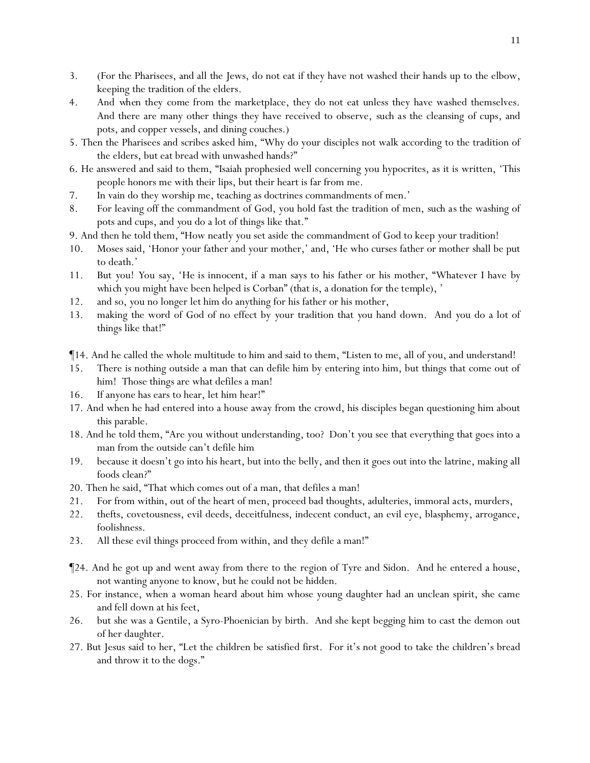- 3. (For the Pharisees, and all the Jews, do not eat if they have not washed their hands up to the elbow, keeping the tradition of the elders.
- 4. And *when they come* from the marketplace, they do not eat unless they have washed themselves. And there are many other things they have received to observe, *such as* the cleansing of cups, and pots, and copper vessels, and dining couches.)
- 5. Then the Pharisees and scribes asked him, "Why do your disciples not walk according to the tradition of the elders, but eat bread with unwashed hands?"
- 6. He answered and said to them, "Isaiah prophesied well concerning *y*ou hypocrites, as it is written, 'This people honors me with their lips, but their heart is far from me.
- 7. In vain do they worship me, teaching as doctrines commandments of men.'
- 8. For leaving off the commandment of God, you hold fast the tradition of men, *such as* the washing of pots and cups, and *y*ou do a lot of things like that."
- 9. And then he told them, "How neatly *y*ou set aside the commandment of God to keep *y*our tradition!
- 10. Moses said, 'Honor your father and your mother,' and, 'He who curses father or mother shall be put to death.'
- 11. But *y*ou! *Y*ou say, '*He is innocent,* if a man says to his father or his mother, "Whatever I have *by which* you might have been helped is Corban" (that is, a donation *for the temple*), '
- 12. and so, *y*ou no longer let him do anything for his father or his mother,
- 13. making the word of God of no effect by *y*our tradition that *y*ou hand down. And *y*ou do a lot of things like that!"
- ¶14. And he called the whole multitude to him and said to them, "Listen to me, all of you, and understand!
- 15. There is nothing outside a man that can defile him by entering into him, but things that come out of him! Those things are what defiles a man!
- 16. If anyone has ears to hear, let him hear!"
- 17. And when he had entered into a house away from the crowd, his disciples began questioning him about this parable.
- 18. And he told them, "Are *y*ou without understanding, too? Don't *y*ou see that everything that goes into a man from the outside can't defile him
- 19. because it doesn't go into his heart, but into the belly, and then it goes out into the latrine, making all foods clean?"
- 20. Then he said, "That which comes out of a man, that defiles a man!
- 21. For from within, out of the heart of men, proceed bad thoughts, adulteries, immoral acts, murders,
- 22. thefts, covetousness, evil deeds, deceitfulness, indecent conduct, an evil eye, blasphemy, arrogance, foolishness.
- 23. All these evil things proceed from within, and they defile a man!"
- ¶24. And he got up and went away from there to the region of Tyre and Sidon. And he entered a house, not wanting anyone to know, but he could not be hidden.
- 25. For instance, when a woman heard about him whose young daughter had an unclean spirit, she came *and* fell down at his feet,
- 26. but she was a Gentile, a Syro-Phoenician by birth. And she kept begging him to cast the demon out of her daughter.
- 27. But Jesus said to her, "Let the children be satisfied first. For it's not good to take the children's bread and throw it to the dogs."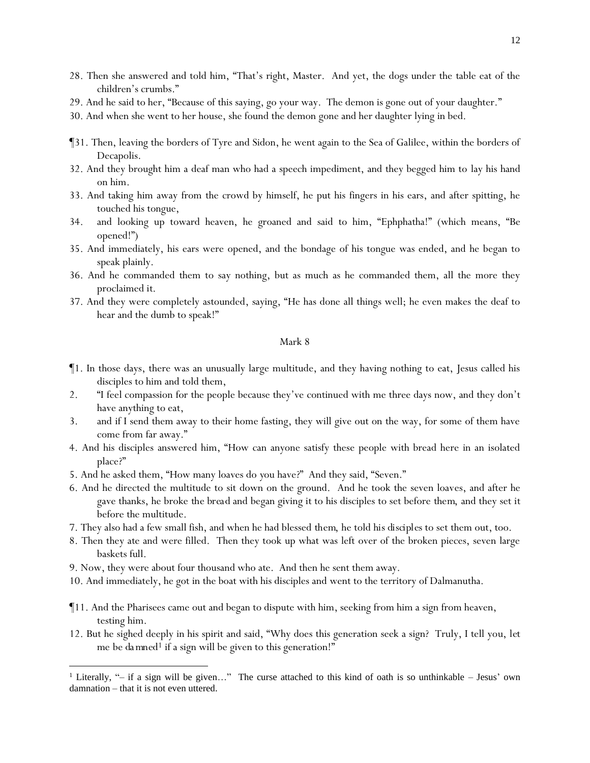- 28. Then she answered and told him, "That's right, Master. And yet, the dogs under the table eat of the children's crumbs."
- 29. And he said to her, "Because of this saying, go your way. The demon is gone out of your daughter."
- 30. And when she went to her house, she found the demon gone and her daughter lying in bed.
- ¶31. Then, leaving the borders of Tyre and Sidon, he went again to the Sea of Galilee, within the borders of Decapolis.
- 32. And they brought him a deaf man who had a speech impediment, and they begged him to lay his hand on him.
- 33. And taking him away from the crowd by himself, he put his fingers in his ears, and after spitting, he touched his tongue,
- 34. and looking up toward heaven, he groaned and said to him, "Ephphatha!" (which means, "Be opened!")
- 35. And immediately, his ears were opened, and the bondage of his tongue was ended, and he began to speak plainly.
- 36. And he commanded them to say nothing, but as much as he commanded them, all the more they proclaimed *it*.
- 37. And they were completely astounded, saying, "He has done all things well; he even makes the deaf to hear and the dumb to speak!"

- ¶1. In those days, there was an unusually large multitude, and they having nothing to eat, Jesus called his disciples to him and told them,
- 2. "I feel compassion for the people because they've continued with me three days now, and they don't have anything to eat,
- 3. and if I send them away to their home fasting, they will give out on the way, for some of them have come from far away."
- 4. And his disciples answered him, "How can anyone satisfy these people with bread here in an isolated place?"
- 5. And he asked them, "How many loaves do *y*ou have?" And they said, "Seven."
- 6. And he directed the multitude to sit down on the ground. And he took the seven loaves, and after he gave thanks, he broke *the bread* and began giving *it* to his disciples to set before *them*, and they set *it* before the multitude.
- 7. They also had a few small fish, and when he had blessed *them*, he told *his disciples* to set them out, too.
- 8. Then they ate and were filled. Then they took up what was left over of the broken pieces, seven large baskets *full*.
- 9. Now, they were about four thousand who ate. And then he sent them away.
- 10. And immediately, he got in the boat with his disciples and went to the territory of Dalmanutha.
- ¶11. And the Pharisees came out and began to dispute with him, seeking from him a sign from heaven, testing him.
- 12. But he sighed deeply in his spirit and said, "Why does this generation seek a sign? Truly, I tell you, *let me be da mned<sup>1</sup>* if a sign will be given to this generation!"

<sup>&</sup>lt;sup>1</sup> Literally, "– if a sign will be given..." The curse attached to this kind of oath is so unthinkable – Jesus' own damnation – that it is not even uttered.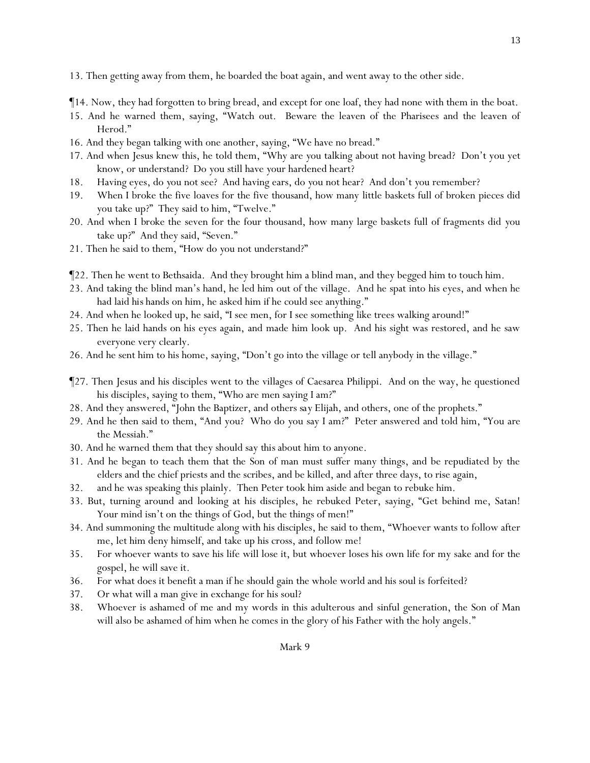13. Then getting away from them, he boarded the boat again, and went away to the other side.

¶14. Now, they had forgotten to bring bread, and except for one loaf, they had none with them in the boat.

- 15. And he warned them, saying, "Watch out. Beware the leaven of the Pharisees and the leaven of Herod."
- 16. And they began talking with one another, saying, "We have no bread."
- 17. And when Jesus knew this, he told them, "Why are *y*ou talking about not having bread? Don't you yet know, or understand? Do *y*ou still have *y*our hardened heart?
- 18. Having eyes, do *y*ou not see? And having ears, do *y*ou not hear? And don't *y*ou remember?
- 19. When I broke the five loaves for the five thousand, how many little baskets full of broken pieces did *y*ou take up?" They said to him, "Twelve."
- 20. And when *I broke* the seven for the four thousand, how many large baskets full of fragments did *y*ou take up?" And they said, "Seven."
- 21. Then he said to them, "How do *y*ou not understand?"
- ¶22. Then he went to Bethsaida. And they brought him a blind man, and they begged him to touch him.
- 23. And taking the blind man's hand, he led him out of the village. And he spat into his eyes, and when he had laid *his* hands on him, he asked him if he could see anything."
- 24. And when he looked up, he said, "I see men, for I see something like trees walking around!"
- 25. Then he laid hands on his eyes again, and made him look up. And his sight was restored, and he saw everyone very clearly.
- 26. And he sent him to his home, saying, "Don't go into the village or tell anybody in the village."
- ¶27. Then Jesus and his disciples went to the villages of Caesarea Philippi. And on the way, he questioned his disciples, saying to them, "Who are men saying I am?"
- 28. And they answered, "John the Baptizer, and others *say* Elijah, and others, one of the prophets."
- 29. And he then said to them, "And you? Who do *y*ou say I am?" Peter answered and told him, "You are the Messiah."
- 30. And he warned them that they should say *this* about him to anyone.
- 31. And he began to teach them that the Son of man must suffer many things, and be repudiated by the elders and the chief priests and the scribes, and be killed, and after three days, to rise again,
- 32. and he was speaking this plainly. Then Peter took him aside and began to rebuke him.
- 33. But, turning around and looking at his disciples, he rebuked Peter, saying, "Get behind me, Satan! Your mind isn't on the things of God, but the things of men!"
- 34. And summoning the multitude along with his disciples, he said to them, "Whoever wants to follow after me, let him deny himself, and take up his cross, and follow me!
- 35. For whoever wants to save his life will lose it, but whoever loses his own life for my sake and for the gospel, he will save it.
- 36. For what does it benefit a man if he should gain the whole world and his soul is forfeited?
- 37. Or what will a man give in exchange for his soul?
- 38. Whoever is ashamed of me and my words in this adulterous and sinful generation, the Son of Man will also be ashamed of him when he comes in the glory of his Father with the holy angels."

13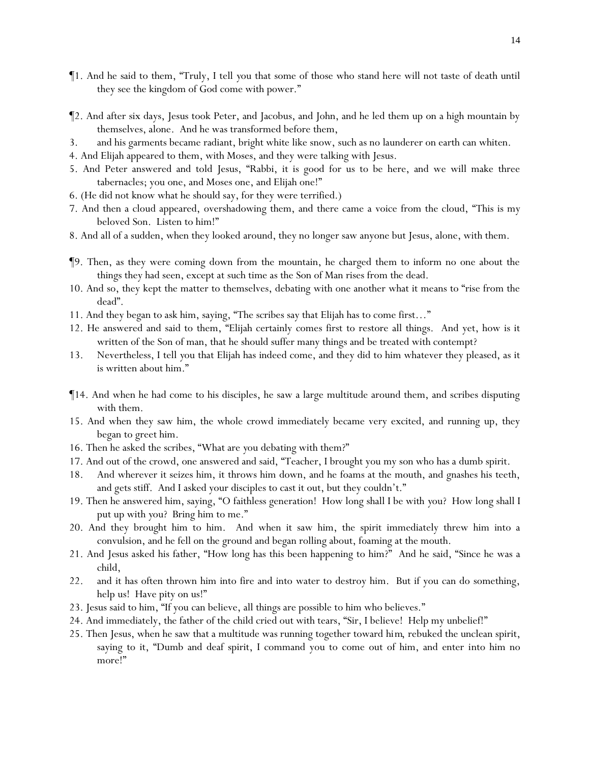- ¶1. And he said to them, "Truly, I tell *y*ou that some of those who stand here will not taste of death until they see the kingdom of God come with power."
- ¶2. And after six days, Jesus took Peter, and Jacobus, and John, and he led them up on a high mountain by themselves, alone. And he was transformed before them,
- 3. and his garments became radiant, bright white like snow, such as no launderer on earth can whiten.
- 4. And Elijah appeared to them, with Moses, and they were talking with Jesus.
- 5. And Peter answered and told Jesus, "Rabbi, it is good for us to be here, and we will make three tabernacles; you one, and Moses one, and Elijah one!"
- 6. (He did not know what he should say, for they were terrified.)
- 7. And then a cloud appeared, overshadowing them, and there came a voice from the cloud, "This is my beloved Son. Listen to him!"
- 8. And all of a sudden, when they looked around, they no longer saw anyone but Jesus, alone, with them.
- ¶9. Then, as they were coming down from the mountain, he charged them to inform no one about the things they had seen, except at such time as the Son of Man rises from the dead.
- 10. And so, they kept the matter to themselves, debating with one another what it means to "rise from the dead".
- 11. And they began to ask him, saying, "The scribes say that Elijah has to come first…"
- 12. He answered and said to them, "Elijah certainly comes first to restore all things. And yet, how is it written of the Son of man, that he should suffer many things and be treated with contempt?
- 13. Nevertheless, I tell *y*ou that Elijah has indeed come, and they did to him whatever they pleased, as it is written about him."
- ¶14. And when he had come to his disciples, he saw a large multitude around them, and scribes disputing with them.
- 15. And when they saw him, the whole crowd immediately became very excited, and running up, they began to greet him.
- 16. Then he asked the scribes, "What are *y*ou debating with them?"
- 17. And out of the crowd, one answered and said, "Teacher, I brought you my son who has a dumb spirit.
- 18. And wherever it seizes him, it throws him down, and he foams at the mouth, and gnashes his teeth, and gets stiff. And I asked your disciples to cast it out, but they couldn't."
- 19. Then he answered him, saying, "O faithless generation! How long shall I be with *y*ou? How long shall I put up with *y*ou? Bring him to me."
- 20. And they brought him to him. And when it saw him, the spirit immediately threw him into a convulsion, and he fell on the ground and began rolling about, foaming at the mouth.
- 21. And *Jesus* asked his father, "How long has this been happening to him?" And he said, "Since he was a child,
- 22. and it has often thrown him into fire and into water to destroy him. But if you can do something, help us! Have pity on us!"
- 23. Jesus said to him, "If you can believe, all things are possible to him who believes."
- 24. And immediately, the father of the child cried out with tears, "Sir, I believe! Help my unbelief!"
- 25. Then Jesus, when he saw that a multitude was running together toward *him*, rebuked the unclean spirit, saying to it, "Dumb and deaf spirit, I command you to come out of him, and enter into him no more!"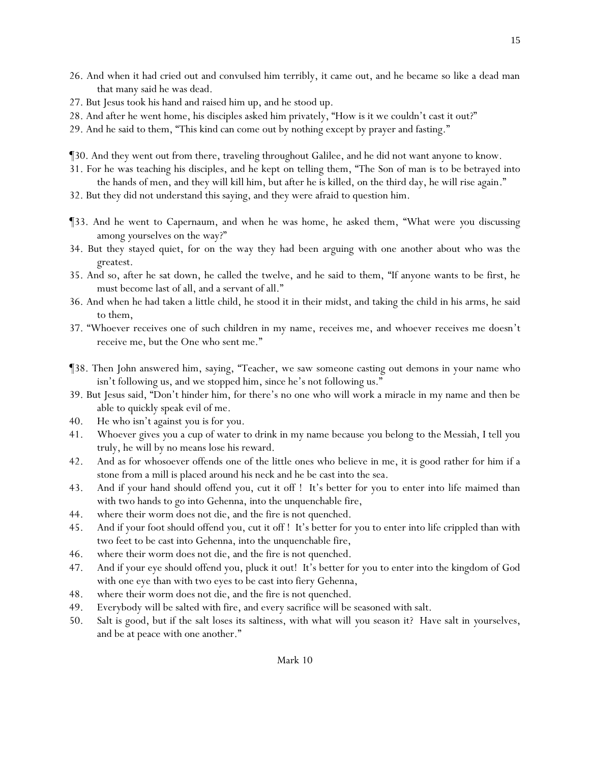- 26. And when it had cried out and convulsed him terribly, it came out, and he became so like a dead man that many said he was dead.
- 27. But Jesus took his hand and raised him up, and he stood up.
- 28. And after he went home, his disciples asked him privately, "How is it we couldn't cast it out?"
- 29. And he said to them, "This kind can come out by nothing except by prayer and fasting."
- ¶30. And they went out from there, traveling throughout Galilee, and he did not want anyone to know.
- 31. For he was teaching his disciples, and he kept on telling them, "The Son of man is *to be* betrayed into the hands of men, and they will kill him, but after he is killed, on the third day, he will rise again."
- 32. But they did not understand this saying, and they were afraid to question him.
- ¶33. And he went to Capernaum, and when he was home, he asked them, "What were *y*ou discussing among *y*ourselves on the way?"
- 34. But they stayed quiet, for on the way they had been arguing with one another about who was the greatest.
- 35. And so, after he sat down, he called the twelve, and he said to them, "If anyone wants to be first, he must become last of all, and a servant of all."
- 36. And when he had taken a little child, he stood it in their midst, and taking the child in his arms, he said to them,
- 37. "Whoever receives one of such children in my name, receives me, and whoever receives me doesn't receive me, but the One who sent me."
- ¶38. Then John answered him, saying, "Teacher, we saw someone casting out demons in your name who isn't following us, and we stopped him, since he's not following us."
- 39. But Jesus said, "Don't hinder him, for there's no one who will work a miracle in my name and then be able to quickly speak evil of me.
- 40. He who isn't against *y*ou is for *y*ou.
- 41. Whoever gives *y*ou a cup of water to drink in my name because *y*ou belong to *the* Messiah, I tell *y*ou truly, he will by no means lose his reward.
- 42. And as for whosoever offends one of the little ones who believe in me, it is good rather for him if a stone from a mill is placed around his neck and he be cast into the sea.
- 43. And if your hand should offend you, cut it off ! It's better for you to enter into life maimed than with two hands to go into Gehenna, into the unquenchable fire,
- 44. where their worm does not die, and the fire is not quenched.
- 45. And if your foot should offend you, cut it off ! It's better for you to enter into life crippled than with two feet to be cast into Gehenna, into the unquenchable fire,
- 46. where their worm does not die, and the fire is not quenched.
- 47. And if your eye should offend you, pluck it out! It's better for you to enter into the kingdom of God with one eye than with two eyes to be cast into fiery Gehenna,
- 48. where their worm does not die, and the fire is not quenched.
- 49. Everybody will be salted with fire, and every sacrifice will be seasoned with salt.
- 50. Salt is good, but if the salt loses its saltiness, with what will *y*ou season it? Have salt in *y*ourselves, and be at peace with one another."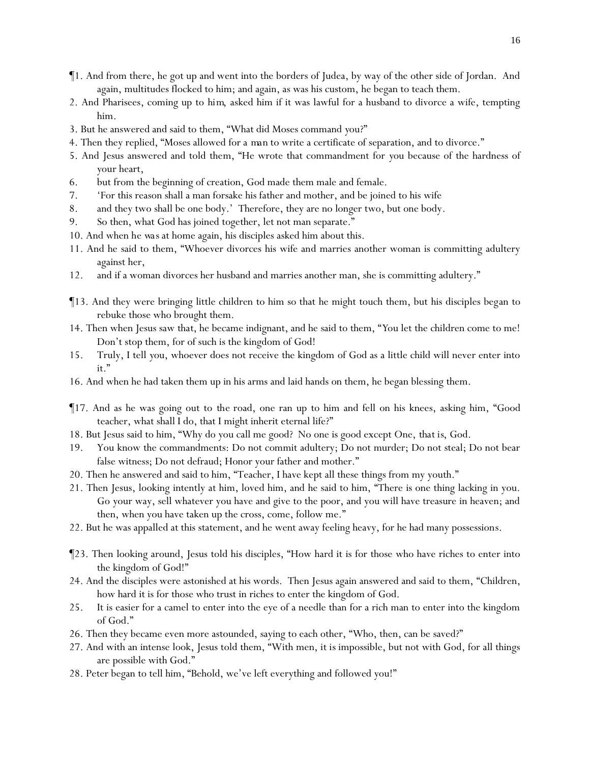- ¶1. And from there, he got up and went into the borders of Judea, by way of the other side of Jordan. And again, multitudes flocked to him; and again, as was his custom, he began to teach them.
- 2. And Pharisees, coming up to *him*, asked him if it was lawful for a husband to divorce a wife, tempting him.
- 3. But he answered and said to them, "What did Moses command *y*ou?"
- 4. Then they replied, "Moses allowed for *a man* to write a certificate of separation, and to divorce."
- 5. And Jesus answered and told them, "He wrote that commandment for *y*ou because of the hardness of *y*our heart,
- 6. but from the beginning of creation, God made them male and female.
- 7. 'For this reason shall a man forsake his father and mother, and be joined to his wife
- 8. and they two shall be one body.' Therefore, they are no longer two, but one body.
- 9. So then, what God has joined together, let not man separate."
- 10. And when *he was* at home again, his disciples asked him about this.
- 11. And he said to them, "Whoever divorces his wife and marries another woman is committing adultery against her,
- 12. and if a woman divorces her husband and marries another man, she is committing adultery."
- ¶13. And they were bringing little children to him so that he might touch them, but his disciples began to rebuke those who brought them.
- 14. Then when Jesus saw *that*, he became indignant, and he said to them, "*Y*ou let the children come to me! Don't stop them, for of such is the kingdom of God!
- 15. Truly, I tell *y*ou, whoever does not receive the kingdom of God as a little child will never enter into it."
- 16. And when he had taken them up in his arms and laid hands on them, he began blessing them.
- ¶17. And as he was going out to *the* road, one ran up to him and fell on his knees, asking him, "Good teacher, what shall I do, that I might inherit eternal life?"
- 18. But Jesus said to him, "Why do you call me good? No one is good except One, *that is*, God.
- 19. You know the commandments: Do not commit adultery; Do not murder; Do not steal; Do not bear false witness; Do not defraud; Honor your father and mother."
- 20. Then he answered and said to him, "Teacher, I have kept all these things from my youth."
- 21. Then Jesus, looking intently at him, loved him, and he said to him, "There is one thing lacking in you. Go your way, sell whatever you have and give to the poor, and you will have treasure in heaven; and then, when you have taken up the cross, come, follow me."
- 22. But he was appalled at this statement, and he went away feeling heavy, for he had many possessions.
- ¶23. Then looking around, Jesus told his disciples, "How hard it is for those who have riches to enter into the kingdom of God!"
- 24. And the disciples were astonished at his words. Then Jesus again answered and said to them, "Children, how hard it is for those who trust in riches to enter the kingdom of God.
- 25. It is easier for a camel to enter into the eye of a needle than for a rich man to enter into the kingdom of God."
- 26. Then they became even more astounded, saying to each other, "Who, then, can be saved?"
- 27. And with an intense look, Jesus told them, "With men, *it is* impossible, but not with God, for all things are possible with God."
- 28. Peter began to tell him, "Behold, we've left everything and followed you!"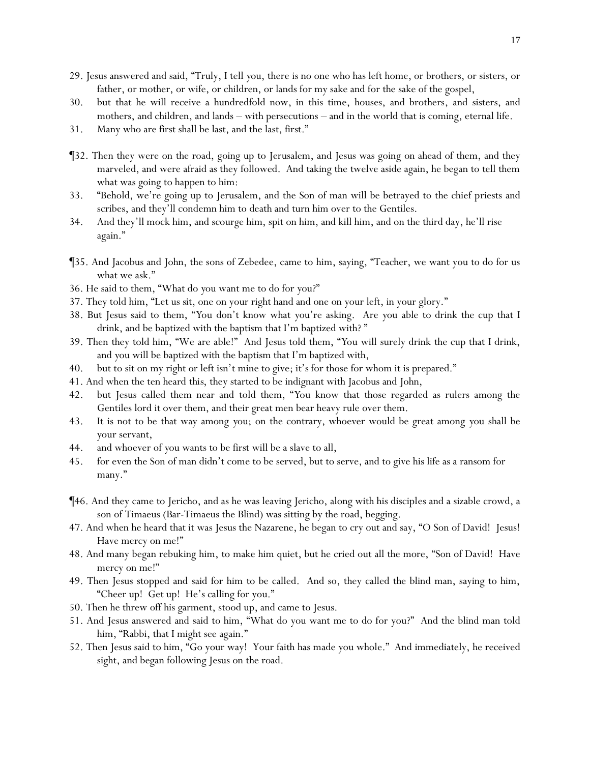- 29. Jesus answered and said, "Truly, I tell *y*ou, there is no one who has left home, or brothers, or sisters, or father, or mother, or wife, or children, or lands for my sake and for the sake of the gospel,
- 30. but that he will receive a hundredfold now, in this time, houses, and brothers, and sisters, and mothers, and children, and lands – with persecutions – and in the world that is coming, eternal life.
- 31. Many who are first shall be last, and the last, first."
- ¶32. Then they were on the road, going up to Jerusalem, and Jesus was going on ahead of them, and they marveled, and were afraid as they followed. And taking the twelve aside again, he began to tell them what was going to happen to him:
- 33. "Behold, we're going up to Jerusalem, and the Son of man will be betrayed to the chief priests and scribes, and they'll condemn him to death and turn him over to the Gentiles.
- 34. And they'll mock him, and scourge him, spit on him, and kill him, and on the third day, he'll rise again."
- ¶35. And Jacobus and John, the sons of Zebedee, came to him, saying, "Teacher, we want you to do for us what we ask."
- 36. He said to them, "What do *y*ou want me to do for *y*ou?"
- 37. They told him, "Let us sit, one on your right hand and one on your left, in your glory."
- 38. But Jesus said to them, "*Y*ou don't know what *y*ou're asking. Are *y*ou able to drink the cup that I drink, and be baptized with the baptism that I'm baptized with? "
- 39. Then they told him, "We are able!" And Jesus told them, "*Y*ou will surely drink the cup that I drink, and *y*ou will be baptized with the baptism that I'm baptized with,
- 40. but to sit on my right or left isn't mine to give; *it's* for those for whom it is prepared."
- 41. And when the ten heard *this*, they started to be indignant with Jacobus and John,
- 42. but Jesus called them near and told them, "*Y*ou know that those regarded as rulers among the Gentiles lord it over them, and their great men bear heavy rule over them.
- 43. It is not to be that way among *y*ou; on the contrary, whoever would be great among *y*ou shall be *y*our servant,
- 44. and whoever of *y*ou wants to be first will be a slave to all,
- 45. for even the Son of man didn't come to be served, but to serve, and to give his life as a ransom for many."
- ¶46. And they came to Jericho, and as he was leaving Jericho, along with his disciples and a sizable crowd, a son of Timaeus (Bar-Timaeus the Blind) was sitting by the road, begging.
- 47. And when he heard that it was Jesus the Nazarene, he began to cry out and say, "O Son of David! Jesus! Have mercy on me!"
- 48. And many began rebuking him, to make him quiet, but he cried out all the more, "Son of David! Have mercy on me!"
- 49. Then Jesus stopped and said for him to be called. And so, they called the blind man, saying to him, "Cheer up! Get up! He's calling for you."
- 50. Then he threw off his garment, stood up, and came to Jesus.
- 51. And Jesus answered and said to him, "What do you want me to do for you?" And the blind man told him, "Rabbi, that I might see again."
- 52. Then Jesus said to him, "Go your way! Your faith has made you whole." And immediately, he received sight, and began following Jesus on the road.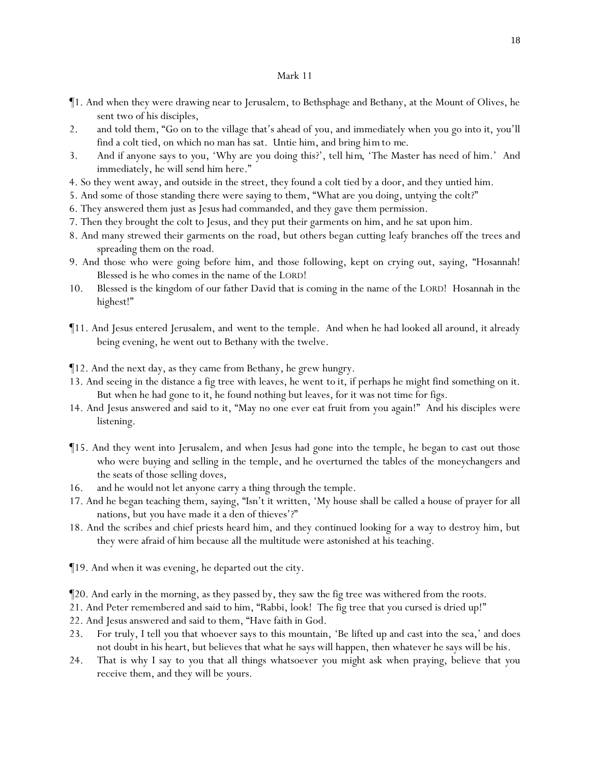- ¶1. And when they were drawing near to Jerusalem, to Bethsphage and Bethany, at the Mount of Olives, he sent two of his disciples,
- 2. and told them, "Go on to the village that's ahead of *y*ou, and immediately when *y*ou go into it, *y*ou'll find a colt tied, on which no man has sat. Untie him, and bring *him to me*.
- 3. And if anyone says to *y*ou, 'Why are *y*ou doing this?', tell *him*, 'The Master has need of him.' And immediately, he will send him here."
- 4. So they went away, and outside in the street, they found a colt tied by a door, and they untied him.
- 5. And some of those standing there were saying to them, "What are *y*ou doing, untying the colt?"
- 6. They answered them just as Jesus had commanded, and they gave them permission.
- 7. Then they brought the colt to Jesus, and they put their garments on him, and he sat upon him.
- 8. And many strewed their garments on the road, but others began cutting leafy branches off the trees and spreading them on the road.
- 9. And those who were going before him, and those following, kept on crying out, saying, "Hosannah! Blessed is he who comes in the name of the LORD!
- 10. Blessed is the kingdom of our father David that is coming in the name of the LORD! Hosannah in the highest!"
- ¶11. And Jesus entered Jerusalem, and *went* to the temple. And when he had looked all around, it already being evening, he went out to Bethany with the twelve.
- ¶12. And the next day, as they came from Bethany, he grew hungry.
- 13. And seeing in the distance a fig tree with leaves, he went *to it*, if perhaps he might find something on it. But when he had gone to it, he found nothing but leaves, for it was not time for figs.
- 14. And Jesus answered and said to it, "May no one ever eat fruit from you again!" And his disciples were listening.
- ¶15. And they went into Jerusalem, and when Jesus had gone into the temple, he began to cast out those who were buying and selling in the temple, and he overturned the tables of the moneychangers and the seats of those selling doves,
- 16. and he would not let anyone carry a thing through the temple.
- 17. And he began teaching them, saying, "Isn't it written, 'My house shall be called a house of prayer for all nations, but *y*ou have made it a den of thieves'?"
- 18. And the scribes and chief priests heard him, and they continued looking for a way to destroy him, but they were afraid of him because all the multitude were astonished at his teaching.
- ¶19. And when it was evening, he departed out the city.
- ¶20. And early in the morning, as they passed by, they saw the fig tree was withered from the roots.
- 21. And Peter remembered and said to him, "Rabbi, look! The fig tree that you cursed is dried up!"
- 22. And Jesus answered and said to them, "Have faith in God.
- 23. For truly, I tell *y*ou that whoever says to this mountain, 'Be lifted up and cast into the sea,' and does not doubt in his heart, but believes that what he says will happen, then whatever he says will be his.
- 24. That is why I say to *y*ou that all things whatsoever *y*ou might ask when praying, believe that *y*ou receive them, and they will be *y*ours.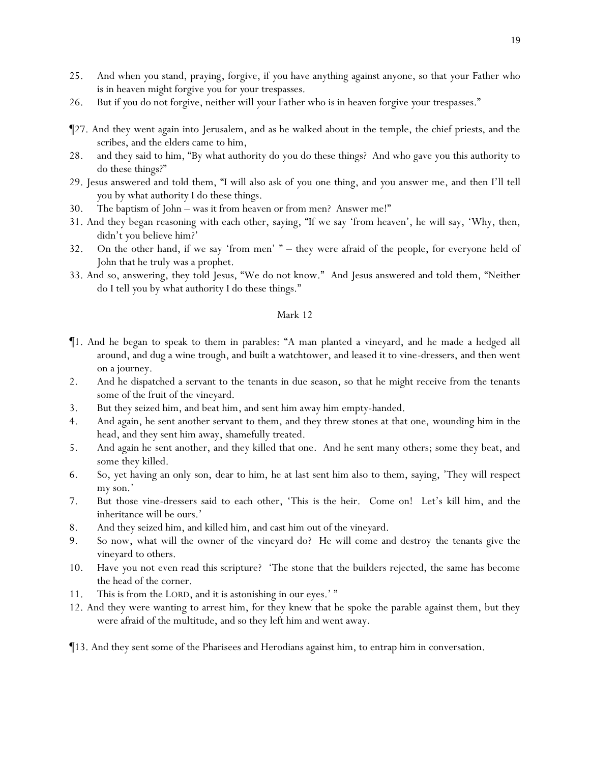- 25. And when *y*ou stand, praying, forgive, if *y*ou have anything against anyone, so that *y*our Father who is in heaven might forgive *y*ou for *y*our trespasses.
- 26. But if *y*ou do not forgive, neither will *y*our Father who is in heaven forgive *y*our trespasses."
- ¶27. And they went again into Jerusalem, and as he walked about in the temple, the chief priests, and the scribes, and the elders came to him,
- 28. and they said to him, "By what authority do you do these things? And who gave you this authority to do these things?"
- 29. Jesus answered and told them, "I will also ask of *y*ou one thing, and *y*ou answer me, and then I'll tell *y*ou by what authority I do these things.
- 30. The baptism of John was it from heaven or from men? Answer me!"
- 31. And they began reasoning with each other, saying, "If we say 'from heaven', he will say, 'Why, then, didn't *y*ou believe him?'
- 32. On the other hand, if we say 'from men' " they were afraid of the people, for everyone held of John that he truly was a prophet.
- 33. And so, answering, they told Jesus, "We do not know." And Jesus answered and told them, "Neither do I tell *y*ou by what authority I do these things."

- ¶1. And he began to speak to them in parables: "A man planted a vineyard, and he made a hedged all around, and dug a wine trough, and built a watchtower, and leased it to vine-dressers, and then went on a journey.
- 2. And he dispatched a servant to the tenants in due season, so that he might receive from the tenants some of the fruit of the vineyard.
- 3. But they seized him, and beat him, and sent him away him empty-handed.
- 4. And again, he sent another servant to them, and they threw stones at that one, wounding him in the head, and they sent him away, shamefully treated.
- 5. And again he sent another, and they killed that one. And *he sent* many others; some they beat, and some they killed.
- 6. So, yet having an only son, dear to him, he at last sent him also to them, saying, 'They will respect my son.'
- 7. But those vine-dressers said to each other, 'This is the heir. Come on! Let's kill him, and the inheritance will be ours.'
- 8. And they seized him, and killed him, and cast him out of the vineyard.
- 9. So now, what will the owner of the vineyard do? He will come and destroy the tenants give the vineyard to others.
- 10. Have *y*ou not even read this scripture? 'The stone that the builders rejected, the same has become the head of the corner.
- 11. This is from the LORD, and it is astonishing in our eyes.' "
- 12. And they were wanting to arrest him, for they knew that he spoke the parable against them, but they were afraid of the multitude, and so they left him and went away.
- ¶13. And they sent some of the Pharisees and Herodians against him, to entrap him in conversation.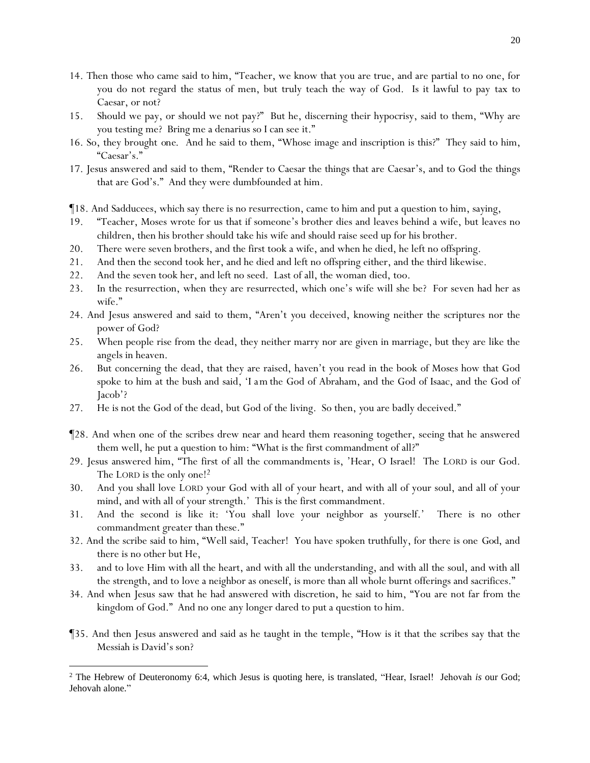- 14. Then those who came said to him, "Teacher, we know that you are true, and are partial to no one, for you do not regard the status of men, but truly teach the way of God. Is it lawful to pay tax to Caesar, or not?
- 15. Should we pay, or should we not pay?" But he, discerning their hypocrisy, said to them, "Why are *y*ou testing me? Bring me a denarius so I can see it."
- 16. So, they brought *one*. And he said to them, "Whose image and inscription is this?" They said to him, "Caesar's."
- 17. Jesus answered and said to them, "Render to Caesar the things that are Caesar's, and to God the things that are God's." And they were dumbfounded at him.

¶18. And Sadducees, which say there is no resurrection, came to him and put a question to him, saying,

- 19. "Teacher, Moses wrote for us that if someone's brother dies and leaves behind a wife, but leaves no children, then his brother should take his wife and should raise seed up for his brother.
- 20. There were seven brothers, and the first took a wife, and when he died, he left no offspring.
- 21. And then the second took her, and he died and left no offspring either, and the third likewise.
- 22. And the seven took her, and left no seed. Last of all, the woman died, too.
- 23. In the resurrection, when they are resurrected, which one's wife will she be? For seven had her as wife."
- 24. And Jesus answered and said to them, "Aren't *y*ou deceived, knowing neither the scriptures nor the power of God?
- 25. When people rise from the dead, they neither marry nor are given in marriage, but they are like the angels in heaven.
- 26. But concerning the dead, that they are raised, haven't *y*ou read in the book of Moses how that God spoke to him at the bush and said, 'I *am* the God of Abraham, and the God of Isaac, and the God of Jacob'?
- 27. He is not the God of the dead, but God of the living. So then, *y*ou are badly deceived."
- ¶28. And when one of the scribes drew near and heard them reasoning together, seeing that he answered them well, he put a question to him: "What is the first commandment of all?"
- 29. Jesus answered him, "The first of all the commandments is, 'Hear, O Israel! The LORD is our God. The LORD is the only one!<sup>2</sup>
- 30. And you shall love LORD your God with all of your heart, and with all of your soul, and all of your mind, and with all of your strength.' This is the first commandment.
- 31. And the second is like it: 'You shall love your neighbor as yourself.' There is no other commandment greater than these."
- 32. And the scribe said to him, "Well said, Teacher! You have spoken truthfully, for there is one *God*, and there is no other but He,
- 33. and to love Him with all the heart, and with all the understanding, and with all the soul, and with all the strength, and to love a neighbor as oneself, is more than all whole burnt offerings and sacrifices."
- 34. And when Jesus saw that he had answered with discretion, he said to him, "You are not far from the kingdom of God." And no one any longer dared to put a question to him.
- ¶35. And then Jesus answered and said as he taught in the temple, "How is it that the scribes say that the Messiah is David's son?

<sup>2</sup> The Hebrew of Deuteronomy 6:4, which Jesus is quoting here, is translated, "Hear, Israel! Jehovah *is* our God; Jehovah alone."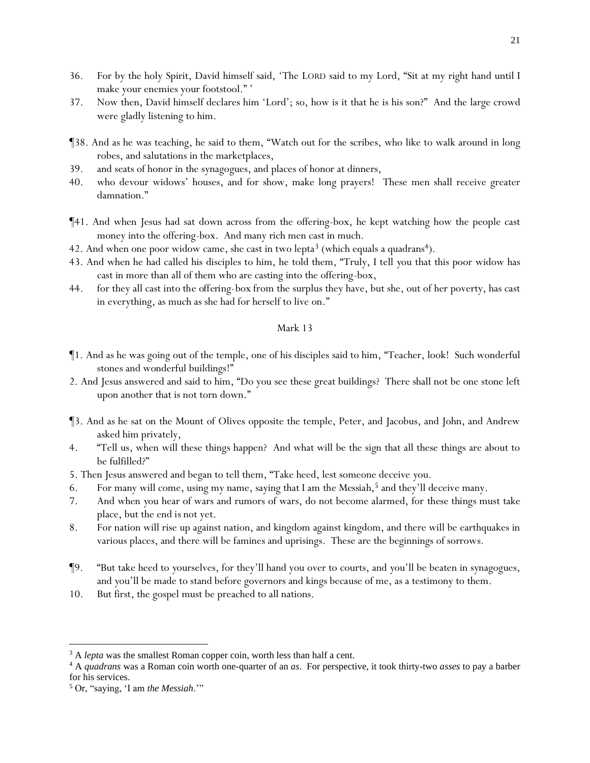- 36. For by the holy Spirit, David himself said, 'The LORD said to my Lord, "Sit at my right hand until I make your enemies your footstool." '
- 37. Now then, David himself declares him 'Lord'; so, how is it that he is his son?" And the large crowd were gladly listening to him.
- ¶38. And as he was teaching, he said to them, "Watch out for the scribes, who like to walk around in long robes, and salutations in the marketplaces,
- 39. and seats of honor in the synagogues, and places of honor at dinners,
- 40. who devour widows' houses, and for show, make long prayers! These men shall receive greater damnation."
- ¶41. And when Jesus had sat down across from the offering-box, he kept watching how the people cast money into the offering-box. And many rich men cast in much.
- 42. And when one poor widow came, she cast in two lepta<sup>3</sup> (which equals a quadrans<sup>4</sup>).
- 43. And when he had called his disciples to him, he told them, "Truly, I tell *y*ou that this poor widow has cast in more than all of them who are casting into the offering-box,
- 44. for they all cast *into the offering-box* from the surplus they have, but she, out of her poverty, has cast in everything, as much as she had for herself to live on."

- ¶1. And as he was going out of the temple, one of his disciples said to him, "Teacher, look! Such wonderful stones and wonderful buildings!"
- 2. And Jesus answered and said to him, "Do you see these great buildings? There shall not be one stone left upon another that is not torn down."
- ¶3. And as he sat on the Mount of Olives opposite the temple, Peter, and Jacobus, and John, and Andrew asked him privately,
- 4. "Tell us, when will these things happen? And what will be the sign that all these things are about to be fulfilled?"
- 5. Then Jesus answered and began to tell them, "Take heed, lest someone deceive *y*ou.
- 6. For many will come, using my name, saying that I am *the Messiah*, <sup>5</sup> and they'll deceive many.
- 7. And when *y*ou hear of wars and rumors of wars, do not become alarmed, for *these things* must take place, but the end *is* not yet.
- 8. For nation will rise up against nation, and kingdom against kingdom, and there will be earthquakes in various places, and there will be famines and uprisings. These are the beginnings of sorrows.
- ¶9. "But take heed to *y*ourselves, for they'll hand you over to courts, and *y*ou'll be beaten in synagogues, and *y*ou'll be made to stand before governors and kings because of me, as a testimony to them.
- 10. But first, the gospel must be preached to all nations.

<sup>&</sup>lt;sup>3</sup> A *lepta* was the smallest Roman copper coin, worth less than half a cent.

<sup>4</sup> A *quadrans* was a Roman coin worth one-quarter of an *as*. For perspective, it took thirty-two *asses* to pay a barber for his services.

<sup>5</sup> Or, "saying, 'I am *the Messiah*.'"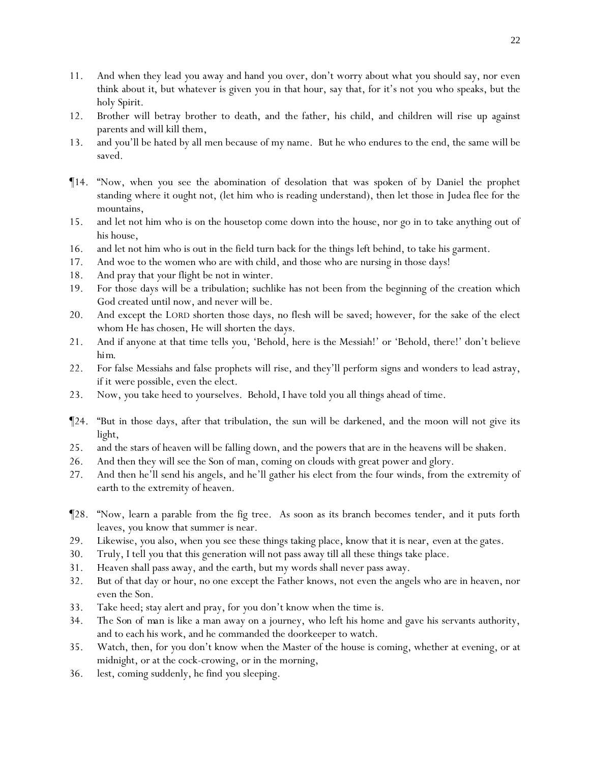- 11. And when they lead *y*ou away and hand *y*ou over, don't worry about what *y*ou should say, nor even think about *it*, but whatever is given *y*ou in that hour, say that, for it's not *y*ou who speaks, but the holy Spirit.
- 12. Brother will betray brother to death, and *the* father, *his* child, and children will rise up against parents and will kill them,
- 13. and *y*ou'll be hated by all men because of my name. But he who endures to the end, the same will be saved.
- ¶14. "Now, when *y*ou see the abomination of desolation that was spoken of by Daniel the prophet standing where it ought not, (let him who is reading understand), then let those in Judea flee for the mountains,
- 15. and let not him who is on the housetop come down into the house, nor go in to take anything out of his house,
- 16. and let not him who is out in the field turn back for the things *left* behind, to take his garment.
- 17. And woe to the women who are with child, and those who are nursing in those days!
- 18. And pray that *y*our flight be not in winter.
- 19. For those days will be a tribulation; suchlike has not been from the beginning of the creation which God created until now, and never will be.
- 20. And except the LORD shorten those days, no flesh will be saved; however, for the sake of the elect whom He has chosen, He will shorten the days.
- 21. And if anyone at that time tells *y*ou, 'Behold, here is the Messiah!' or 'Behold, there!' don't believe *him.*
- 22. For false Messiahs and false prophets will rise, and they'll perform signs and wonders to lead astray, if *it were* possible, even the elect.
- 23. Now, *y*ou take heed to *y*ourselves. Behold, I have told *y*ou all things ahead of time.
- ¶24. "But in those days, after that tribulation, the sun will be darkened, and the moon will not give its light,
- 25. and the stars of heaven will be falling down, and the powers that are in the heavens will be shaken.
- 26. And then they will see the Son of man, coming on clouds with great power and glory.
- 27. And then he'll send his angels, and he'll gather his elect from the four winds, from the extremity of earth to the extremity of heaven.
- ¶28. "Now, learn a parable from the fig tree. As soon as its branch becomes tender, and it puts forth leaves, *y*ou know that summer is near.
- 29. Likewise, *y*ou also, when *y*ou see these things taking place, know that it is near, *even* at *the* gates.
- 30. Truly, I tell *y*ou that this generation will not pass away till all these things take place.
- 31. Heaven shall pass away, and the earth, but my words shall never pass away.
- 32. But of that day or hour, no one except the Father knows, not even the angels who are in heaven, nor even the Son.
- 33. Take heed; stay alert and pray, for *y*ou don't know when the time is.
- 34. *The Son of man* is like a man away on a journey, who left his home and gave his servants authority, and to each his work, and he commanded the doorkeeper to watch.
- 35. Watch, then, for *y*ou don't know when the Master of the house is coming, whether at evening, or at midnight, or at the cock-crowing, or in the morning,
- 36. lest, coming suddenly, he find *y*ou sleeping.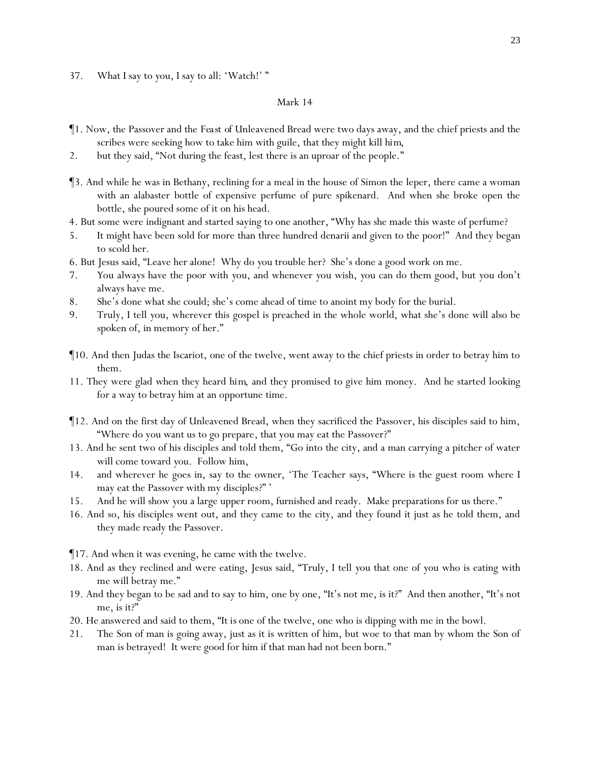37. What I say to *y*ou, I say to all: 'Watch!' "

- ¶1. Now, the Passover and the *Feast of* Unleavened Bread were two days away, and the chief priests and the scribes were seeking how to take him with guile, that they might kill *him*,
- 2. but they said, "Not during the feast, lest there is an uproar of the people."
- ¶3. And while he was in Bethany, reclining for a meal in the house of Simon the leper, there came a woman with an alabaster bottle of expensive perfume of pure spikenard. And when she broke open the bottle, she poured some of it on his head.
- 4. But some were indignant and started saying to one another, "Why has she made this waste of perfume?
- 5. It might have been sold for more than three hundred denarii and given to the poor!" And they began to scold her.
- 6. But Jesus said, "Leave her alone! Why do *y*ou trouble her? She's done a good work on me.
- 7. *Y*ou always have the poor with *y*ou, and whenever *y*ou wish, *y*ou can do them good, but *y*ou don't always have me.
- 8. She's done what she could; she's come ahead of time to anoint my body for the burial.
- 9. Truly, I tell *y*ou, wherever this gospel is preached in the whole world, what she's done will also be spoken of, in memory of her."
- ¶10. And then Judas the Iscariot, one of the twelve, went away to the chief priests in order to betray him to them.
- 11. They were glad when they heard *him*, and they promised to give him money. And he started looking for a way to betray him at an opportune time.
- ¶12. And on the first day of Unleavened Bread, when they sacrificed the Passover, his disciples said to him, "Where do you want us to go prepare, that you may eat the Passover?"
- 13. And he sent two of his disciples and told them, "Go into the city, and a man carrying a pitcher of water will come toward *y*ou. Follow him,
- 14. and wherever he goes in, say to the owner, 'The Teacher says, "Where is the guest room where I may eat the Passover with my disciples?" '
- 15. And he will show *y*ou a large upper room, furnished and ready. Make preparations for us there."
- 16. And so, his disciples went out, and they came to the city, and they found it just as he told them, and they made ready the Passover.
- ¶17. And when it was evening, he came with the twelve.
- 18. And as they reclined and were eating, Jesus said, "Truly, I tell *y*ou that one of *y*ou who is eating with me will betray me."
- 19. And they began to be sad and to say to him, one by one, "It's not me, is it?" And then another, "It's not me, is it?"
- 20. He answered and said to them, "*It is* one of the twelve, one who is dipping with me in the bowl.
- 21. The Son of man is going away, just as it is written of him, but woe to that man by whom the Son of man is betrayed!It were good for him if that man had not been born."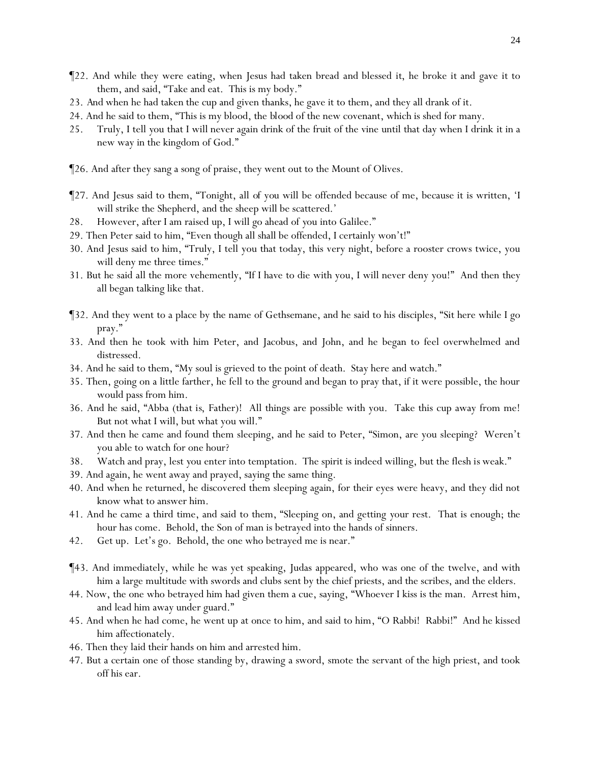- ¶22. And while they were eating, when Jesus had taken bread *and* blessed *it*, he broke *it* and gave *it* to them, and said, "Take and eat. This is my body."
- 23. *And* when he had taken the cup and given thanks, he gave it to them, and they all drank of it.
- 24. And he said to them, "This is my blood, the *blood* of the new covenant, which is shed for many.
- 25. Truly, I tell *y*ou that I will never again drink of the fruit of the vine until that day when I drink it in a new way in the kingdom of God."
- ¶26. And after they sang a song of praise, they went out to the Mount of Olives.
- ¶27. And Jesus said to them, "Tonight, all *of you* will be offended because of me, because it is written, 'I will strike the Shepherd, and the sheep will be scattered.'
- 28. However, after I am raised up, I will go ahead of *y*ou into Galilee."
- 29. Then Peter said to him, "Even though all shall be offended, I certainly won't!"
- 30. And Jesus said to him, "Truly, I tell you that today, this very night, before a rooster crows twice, you will deny me three times."
- 31. But he said all the more vehemently, "If I have to die with you, I will never deny you!" And then they all began talking like that.
- ¶32. And they went to a place by the name of Gethsemane, and he said to his disciples, "Sit here while I go pray."
- 33. And then he took with him Peter, and Jacobus, and John, and he began to feel overwhelmed and distressed.
- 34. And he said to them, "My soul is grieved to the point of death. Stay here and watch."
- 35. Then, going on a little farther, he fell to the ground and began to pray that, if it were possible, the hour would pass from him.
- 36. And he said, "Abba (*that is*, Father)! All things are possible with you. Take this cup away from me! But not what I will, but what you will."
- 37. And then he came and found them sleeping, and he said to Peter, "Simon, are you sleeping? Weren't you able to watch for one hour?
- 38. Watch and pray, lest *y*ou enter into temptation. The spirit is indeed willing, but the flesh *is* weak."
- 39. And again, he went away and prayed, saying the same thing.
- 40. And when he returned, he discovered them sleeping again, for their eyes were heavy, and they did not know what to answer him.
- 41. And he came a third time, and said to them, "Sleeping on, and getting *y*our rest. That is enough; the hour has come. Behold, the Son of man is betrayed into the hands of sinners.
- 42. Get up. Let's go. Behold, the one who betrayed me is near."
- ¶43. And immediately, while he was yet speaking, Judas appeared, who was one of the twelve, and with him a large multitude with swords and clubs sent by the chief priests, and the scribes, and the elders.
- 44. Now, the one who betrayed him had given them a cue, saying, "Whoever I kiss is the man. Arrest him, and lead him away under guard."
- 45. And when he had come, he went up at once to him, and said to him, "O Rabbi! Rabbi!" And he kissed him affectionately.
- 46. Then they laid their hands on him and arrested him.
- 47. But a certain one of those standing by, drawing a sword, smote the servant of the high priest, and took off his ear.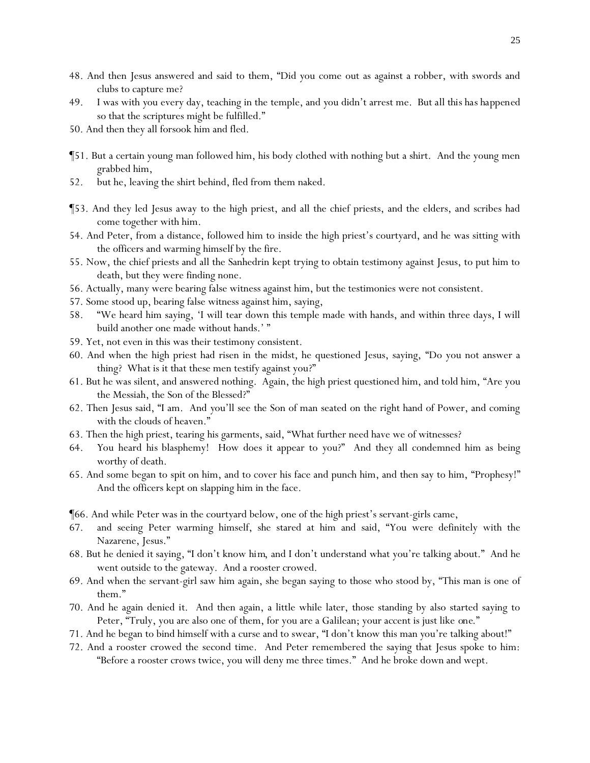- 48. And then Jesus answered and said to them, "Did *y*ou come out as against a robber, with swords and clubs to capture me?
- 49. I was with *y*ou every day, teaching in the temple, and *y*ou didn't arrest me. But *all this has happened*  so that the scriptures might be fulfilled."
- 50. And then they all forsook him and fled.
- ¶51. But a certain young man followed him, his body clothed with nothing but a shirt. And the young men grabbed him,
- 52. but he, leaving the shirt behind, fled from them naked.
- ¶53. And they led Jesus away to the high priest, and all the chief priests, and the elders, and scribes had come together with him.
- 54. And Peter, from a distance, followed him to inside the high priest's courtyard, and he was sitting with the officers and warming himself by the fire.
- 55. Now, the chief priests and all the Sanhedrin kept trying to obtain testimony against Jesus, to put him to death, but they were finding none.
- 56. Actually, many were bearing false witness against him, but the testimonies were not consistent.
- 57. Some stood up, bearing false witness against him, saying,
- 58. "We heard him saying, 'I will tear down this temple made with hands, and within three days, I will build another one made without hands.' "
- 59. Yet, not even in this was their testimony consistent.
- 60. And when the high priest had risen in the midst, he questioned Jesus, saying, "Do you not answer a thing? What is it that these men testify against you?"
- 61. But he was silent, and answered nothing. Again, the high priest questioned him, and told him, "Are you the Messiah, the Son of the Blessed?"
- 62. Then Jesus said, "I am. And *y*ou'll see the Son of man seated on the right hand of Power, and coming with the clouds of heaven."
- 63. Then the high priest, tearing his garments, said, "What further need have we of witnesses?
- 64. *Y*ou heard *his* blasphemy! How does it appear to *y*ou?" And they all condemned him as being worthy of death.
- 65. And some began to spit on him, and to cover his face and punch him, and then say to him, "Prophesy!" And the officers kept on slapping him in the face.
- ¶66. And while Peter was in the courtyard below, one of the high priest's servant-girls came,
- 67. and seeing Peter warming himself, she stared at him and said, "You were definitely with the Nazarene, Jesus."
- 68. But he denied *it* saying, "I don't know *him*, and I don't understand what you're talking about." And he went outside to the gateway. And a rooster crowed.
- 69. And when the servant-girl saw him again, she began saying to those who stood by, "This man is one of them."
- 70. And he again denied *it*. And then again, a little while later, those standing by also started saying to Peter, "Truly, you are also one of them, for you are a Galilean; your accent is just like *one*."
- 71. And he began to bind himself with a curse and to swear, "I don't know this man *y*ou're talking about!"
- 72. And a rooster crowed the second time. And Peter remembered the saying that Jesus spoke to him: "Before a rooster crows twice, you will deny me three times." And he broke down and wept.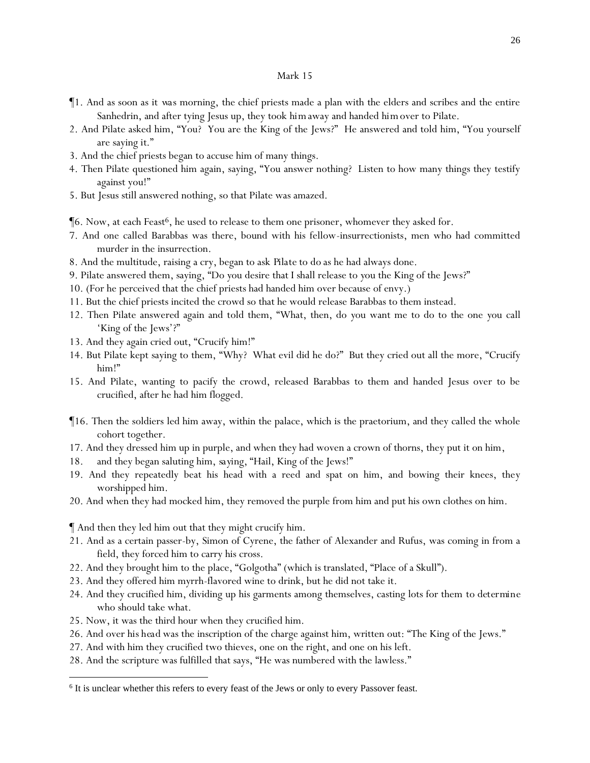- ¶1. And as soon as it *was* morning, the chief priests made a plan with the elders and scribes and the entire Sanhedrin, and after tying Jesus up, they took *him*away and handed *him*over to Pilate.
- 2. And Pilate asked him, "You? You are the King of the Jews?" He answered and told him, "You yourself are saying *it*."
- 3. And the chief priests began to accuse him of many things.
- 4. Then Pilate questioned him again, saying, "You answer nothing? Listen to how many things they testify against you!"
- 5. But Jesus still answered nothing, so that Pilate was amazed.

 $\P6$ . Now, at each Feast<sup>6</sup>, he used to release to them one prisoner, whomever they asked for.

- 7. And one called Barabbas was there, bound with his fellow-insurrectionists, men who had committed murder in the insurrection.
- 8. And the multitude, raising a cry, began to ask *Pilate to do* as he had always done.
- 9. Pilate answered them, saying, "Do *y*ou desire that I shall release to *y*ou the King of the Jews?"
- 10. (For he perceived that the chief priests had handed him over because of envy.)
- 11. But the chief priests incited the crowd so that he would release Barabbas to them instead.
- 12. Then Pilate answered again and told them, "What, then, do *y*ou want me to do to the one *y*ou call 'King of the Jews'?"
- 13. And they again cried out, "Crucify him!"
- 14. But Pilate kept saying to them, "Why? What evil did he do?" But they cried out all the more, "Crucify him!"
- 15. And Pilate, wanting to pacify the crowd, released Barabbas to them and handed Jesus over to be crucified, after he had him flogged.
- ¶16. Then the soldiers led him away, within the palace, which is the praetorium, and they called the whole cohort together.
- 17. And they dressed him up in purple, and when they had woven a crown of thorns, they put it on him,
- 18. and they began saluting him, *saying,* "Hail, King of the Jews!"
- 19. And they repeatedly beat his head with a reed and spat on him, and bowing their knees, they worshipped him.
- 20. And when they had mocked him, they removed the purple from him and put his own clothes on him.

¶ And then they led him out that they might crucify him.

- 21. And as a certain passer-by, Simon of Cyrene, the father of Alexander and Rufus, was coming in from a field, they forced him to carry his cross.
- 22. And they brought him to the place, "Golgotha" (which is translated, "Place of a Skull").
- 23. And they offered him myrrh-flavored wine to drink, but he did not take it.
- 24. And they crucified him, dividing up his garments among themselves, casting lots for them *to determine* who should take what.
- 25. Now, it was the third hour when they crucified him.
- 26. And over *his head* was the inscription of the charge against him, written out: "The King of the Jews."
- 27. And with him they crucified two thieves, one on the right, and one on his left.
- 28. And the scripture was fulfilled that says, "He was numbered with the lawless."

<sup>&</sup>lt;sup>6</sup> It is unclear whether this refers to every feast of the Jews or only to every Passover feast.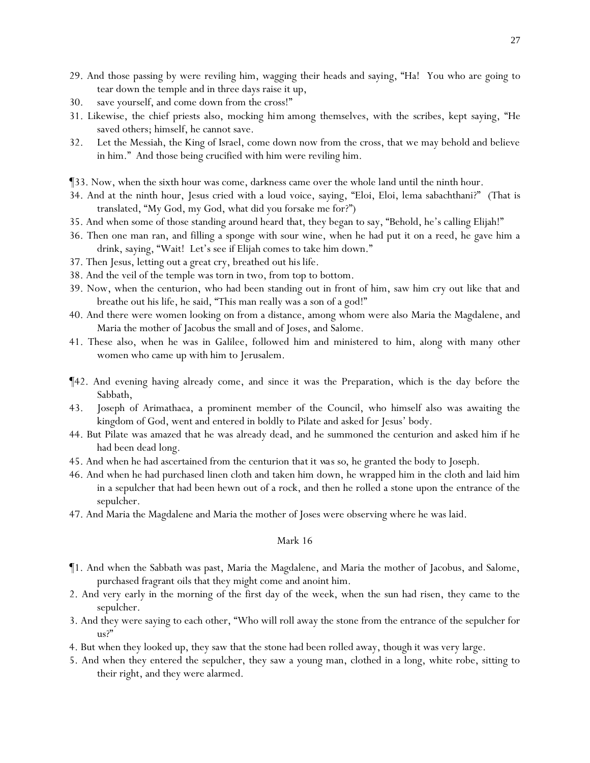- 29. And those passing by were reviling him, wagging their heads and saying, "Ha! You who are going to tear down the temple and in three days raise it up,
- 30. save yourself, and come down from the cross!"
- 31. Likewise, the chief priests also, mocking *him* among themselves, with the scribes, kept saying, "He saved others; himself, he cannot save.
- 32. Let the Messiah, the King of Israel, come down now from the cross, that we may behold and believe in him." And those being crucified with him were reviling him.
- ¶33. Now, when the sixth hour was come, darkness came over the whole land until the ninth hour.
- 34. And at the ninth hour, Jesus cried with a loud voice, saying, "Eloi, Eloi, lema sabachthani?" (That is translated, "My God, my God, what did you forsake me for?")
- 35. And when some of those standing around heard *that*, they began to say, "Behold, he's calling Elijah!"
- 36. Then one man ran, and filling a sponge with sour wine, when he had put it on a reed, he gave him a drink, saying, "Wait! Let's see if Elijah comes to take him down."
- 37. Then Jesus, letting out a great cry, breathed out *his* life.
- 38. And the veil of the temple was torn in two, from top to bottom.
- 39. Now, when the centurion, who had been standing out in front of him, saw him cry out like that and breathe out his life, he said, "This man really was a son of a god!"
- 40. And there were women looking on from a distance, among whom were also Maria the Magdalene, and Maria the mother of Jacobus the small and of Joses, and Salome.
- 41. These also, when he was in Galilee, followed him and ministered to him, along with many other women who came up with him to Jerusalem.
- ¶42. And evening having already come, and since it was the Preparation, which is the day before the Sabbath,
- 43. Joseph of Arimathaea, a prominent member of the Council, who himself also was awaiting the kingdom of God, went and entered in boldly to Pilate and asked for Jesus' body.
- 44. But Pilate was amazed that he was already dead, and he summoned the centurion and asked him if he had been dead long.
- 45. And when he had ascertained from the centurion *that it was so*, he granted the body to Joseph.
- 46. And when he had purchased linen cloth and taken him down, he wrapped him in the cloth and laid him in a sepulcher that had been hewn out of a rock, and then he rolled a stone upon the entrance of the sepulcher.
- 47. And Maria the Magdalene and Maria the mother of Joses were observing where he was laid.

- ¶1. And when the Sabbath was past, Maria the Magdalene, and Maria the mother of Jacobus, and Salome, purchased fragrant oils that they might come and anoint him.
- 2. And very early in the morning of the first day of the week, when the sun had risen, they came to the sepulcher.
- 3. And they were saying to each other, "Who will roll away the stone from the entrance of the sepulcher for us?"
- 4. But when they looked up, they saw that the stone had been rolled away, though it was very large.
- 5. And when they entered the sepulcher, they saw a young man, clothed in a long, white robe, sitting to their right, and they were alarmed.